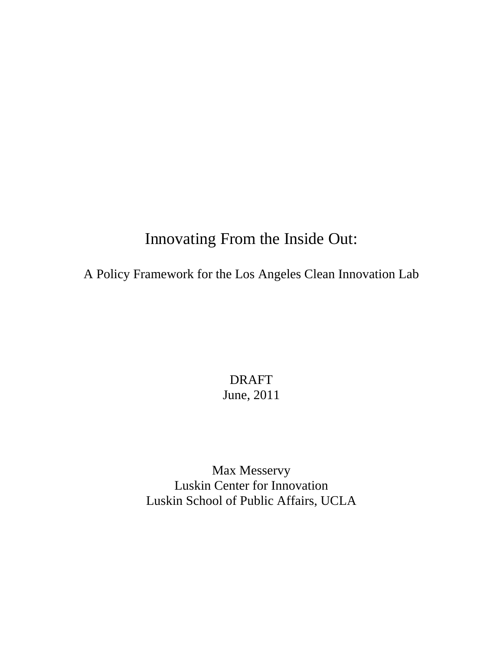# Innovating From the Inside Out:

A Policy Framework for the Los Angeles Clean Innovation Lab

DRAFT June, 2011

<span id="page-0-0"></span>Max Messervy Luskin Center for Innovation Luskin School of Public Affairs, UCLA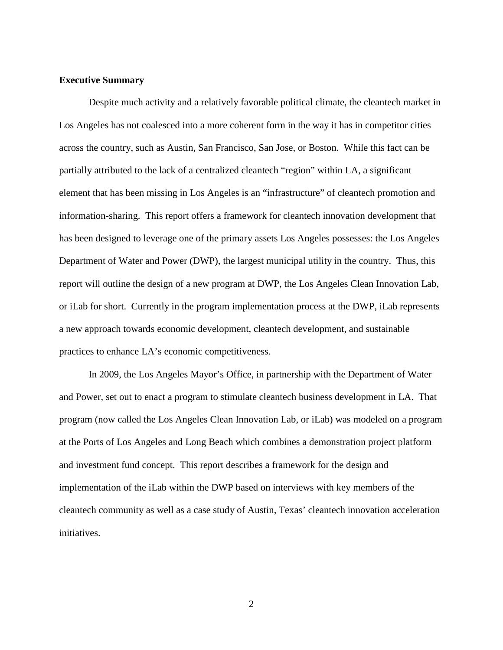#### **Executive Summary**

Despite much activity and a relatively favorable political climate, the cleantech market in Los Angeles has not coalesced into a more coherent form in the way it has in competitor cities across the country, such as Austin, San Francisco, San Jose, or Boston. While this fact can be partially attributed to the lack of a centralized cleantech "region" within LA, a significant element that has been missing in Los Angeles is an "infrastructure" of cleantech promotion and information-sharing. This report offers a framework for cleantech innovation development that has been designed to leverage one of the primary assets Los Angeles possesses: the Los Angeles Department of Water and Power (DWP), the largest municipal utility in the country. Thus, this report will outline the design of a new program at DWP, the Los Angeles Clean Innovation Lab, or iLab for short. Currently in the program implementation process at the DWP, iLab represents a new approach towards economic development, cleantech development, and sustainable practices to enhance LA's economic competitiveness.

In 2009, the Los Angeles Mayor's Office, in partnership with the Department of Water and Power, set out to enact a program to stimulate cleantech business development in LA. That program (now called the Los Angeles Clean Innovation Lab, or iLab) was modeled on a program at the Ports of Los Angeles and Long Beach which combines a demonstration project platform and investment fund concept. This report describes a framework for the design and implementation of the iLab within the DWP based on interviews with key members of the cleantech community as well as a case study of Austin, Texas' cleantech innovation acceleration initiatives.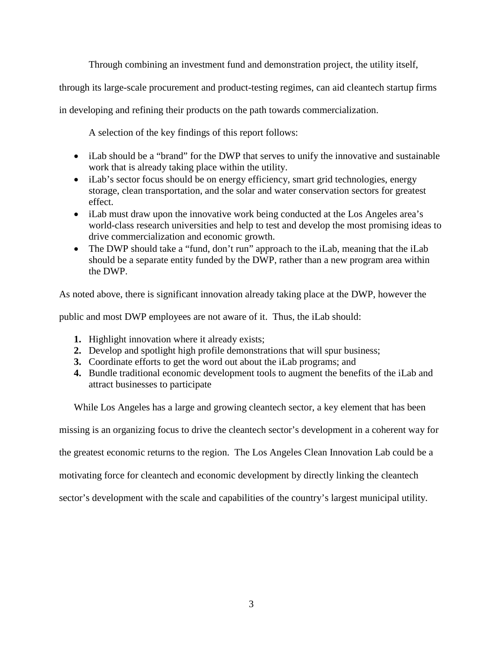Through combining an investment fund and demonstration project, the utility itself,

through its large-scale procurement and product-testing regimes, can aid cleantech startup firms

in developing and refining their products on the path towards commercialization.

A selection of the key findings of this report follows:

- iLab should be a "brand" for the DWP that serves to unify the innovative and sustainable work that is already taking place within the utility.
- iLab's sector focus should be on energy efficiency, smart grid technologies, energy storage, clean transportation, and the solar and water conservation sectors for greatest effect.
- iLab must draw upon the innovative work being conducted at the Los Angeles area's world-class research universities and help to test and develop the most promising ideas to drive commercialization and economic growth.
- The DWP should take a "fund, don't run" approach to the iLab, meaning that the iLab should be a separate entity funded by the DWP, rather than a new program area within the DWP.

As noted above, there is significant innovation already taking place at the DWP, however the

public and most DWP employees are not aware of it. Thus, the iLab should:

- **1.** Highlight innovation where it already exists;
- **2.** Develop and spotlight high profile demonstrations that will spur business;
- **3.** Coordinate efforts to get the word out about the iLab programs; and
- **4.** Bundle traditional economic development tools to augment the benefits of the iLab and attract businesses to participate

While Los Angeles has a large and growing cleantech sector, a key element that has been

missing is an organizing focus to drive the cleantech sector's development in a coherent way for

the greatest economic returns to the region. The Los Angeles Clean Innovation Lab could be a

motivating force for cleantech and economic development by directly linking the cleantech

sector's development with the scale and capabilities of the country's largest municipal utility.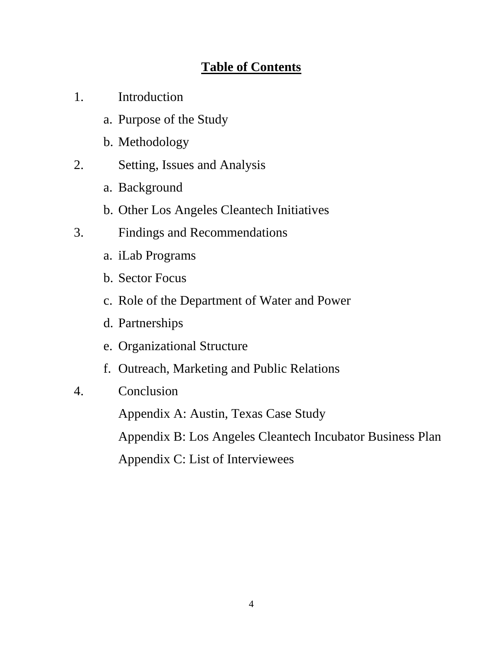# **Table of Contents**

- 1. Introduction
	- a. Purpose of the Study
	- b. Methodology
- 2. Setting, Issues and Analysis
	- a. Background
	- b. Other Los Angeles Cleantech Initiatives
- 3. Findings and Recommendations
	- a. iLab Programs
	- b. Sector Focus
	- c. Role of the Department of Water and Power
	- d. Partnerships
	- e. Organizational Structure
	- f. Outreach, Marketing and Public Relations
- 4. Conclusion

Appendix A: Austin, Texas Case Study Appendix B: Los Angeles Cleantech Incubator Business Plan Appendix C: List of Interviewees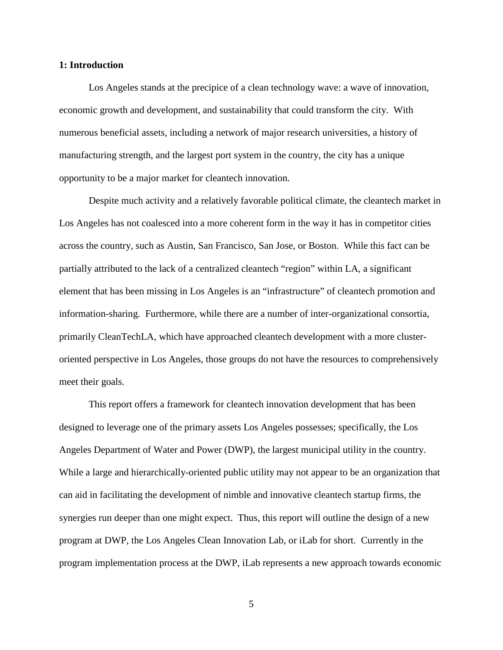## **1: Introduction**

Los Angeles stands at the precipice of a clean technology wave: a wave of innovation, economic growth and development, and sustainability that could transform the city. With numerous beneficial assets, including a network of major research universities, a history of manufacturing strength, and the largest port system in the country, the city has a unique opportunity to be a major market for cleantech innovation.

Despite much activity and a relatively favorable political climate, the cleantech market in Los Angeles has not coalesced into a more coherent form in the way it has in competitor cities across the country, such as Austin, San Francisco, San Jose, or Boston. While this fact can be partially attributed to the lack of a centralized cleantech "region" within LA, a significant element that has been missing in Los Angeles is an "infrastructure" of cleantech promotion and information-sharing. Furthermore, while there are a number of inter-organizational consortia, primarily CleanTechLA, which have approached cleantech development with a more clusteroriented perspective in Los Angeles, those groups do not have the resources to comprehensively meet their goals.

This report offers a framework for cleantech innovation development that has been designed to leverage one of the primary assets Los Angeles possesses; specifically, the Los Angeles Department of Water and Power (DWP), the largest municipal utility in the country. While a large and hierarchically-oriented public utility may not appear to be an organization that can aid in facilitating the development of nimble and innovative cleantech startup firms, the synergies run deeper than one might expect. Thus, this report will outline the design of a new program at DWP, the Los Angeles Clean Innovation Lab, or iLab for short. Currently in the program implementation process at the DWP, iLab represents a new approach towards economic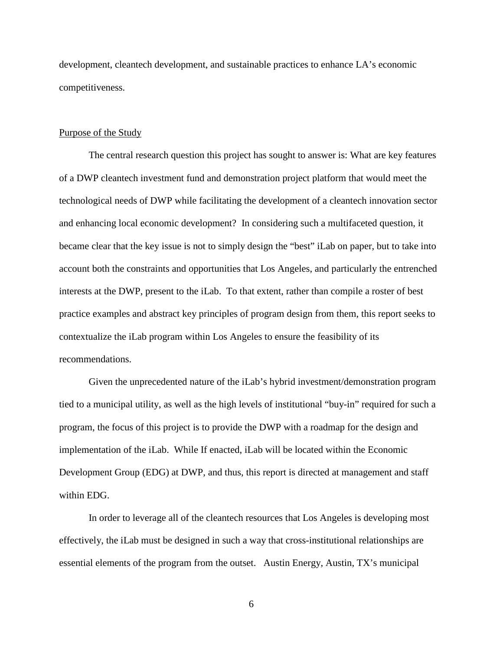development, cleantech development, and sustainable practices to enhance LA's economic competitiveness.

## Purpose of the Study

The central research question this project has sought to answer is: What are key features of a DWP cleantech investment fund and demonstration project platform that would meet the technological needs of DWP while facilitating the development of a cleantech innovation sector and enhancing local economic development? In considering such a multifaceted question, it became clear that the key issue is not to simply design the "best" iLab on paper, but to take into account both the constraints and opportunities that Los Angeles, and particularly the entrenched interests at the DWP, present to the iLab. To that extent, rather than compile a roster of best practice examples and abstract key principles of program design from them, this report seeks to contextualize the iLab program within Los Angeles to ensure the feasibility of its recommendations.

Given the unprecedented nature of the iLab's hybrid investment/demonstration program tied to a municipal utility, as well as the high levels of institutional "buy-in" required for such a program, the focus of this project is to provide the DWP with a roadmap for the design and implementation of the iLab. While If enacted, iLab will be located within the Economic Development Group (EDG) at DWP, and thus, this report is directed at management and staff within EDG.

In order to leverage all of the cleantech resources that Los Angeles is developing most effectively, the iLab must be designed in such a way that cross-institutional relationships are essential elements of the program from the outset. Austin Energy, Austin, TX's municipal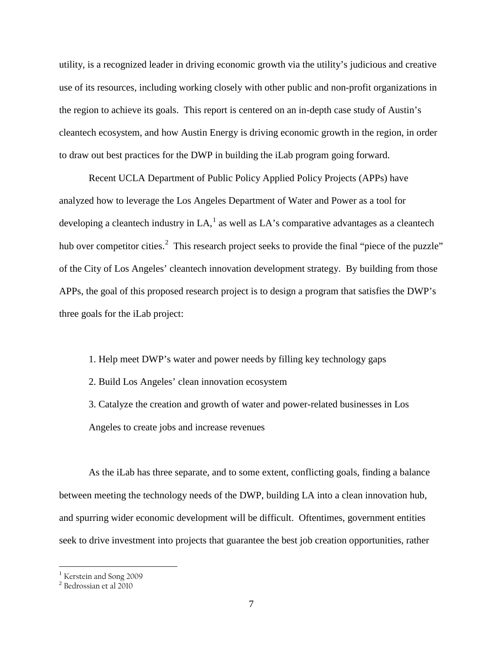utility, is a recognized leader in driving economic growth via the utility's judicious and creative use of its resources, including working closely with other public and non-profit organizations in the region to achieve its goals. This report is centered on an in-depth case study of Austin's cleantech ecosystem, and how Austin Energy is driving economic growth in the region, in order to draw out best practices for the DWP in building the iLab program going forward.

Recent UCLA Department of Public Policy Applied Policy Projects (APPs) have analyzed how to leverage the Los Angeles Department of Water and Power as a tool for developing a cleantech industry in LA,  $^1$  $^1$  as well as LA's comparative advantages as a cleantech hub over competitor cities.<sup>[2](#page-6-0)</sup> This research project seeks to provide the final "piece of the puzzle" of the City of Los Angeles' cleantech innovation development strategy. By building from those APPs, the goal of this proposed research project is to design a program that satisfies the DWP's three goals for the iLab project:

- 1. Help meet DWP's water and power needs by filling key technology gaps
- 2. Build Los Angeles' clean innovation ecosystem
- 3. Catalyze the creation and growth of water and power-related businesses in Los Angeles to create jobs and increase revenues

As the iLab has three separate, and to some extent, conflicting goals, finding a balance between meeting the technology needs of the DWP, building LA into a clean innovation hub, and spurring wider economic development will be difficult. Oftentimes, government entities seek to drive investment into projects that guarantee the best job creation opportunities, rather

<span id="page-6-1"></span><sup>&</sup>lt;sup>1</sup> Kerstein and Song 2009

<span id="page-6-0"></span> $^2$  Bedrossian et al  $2010\,$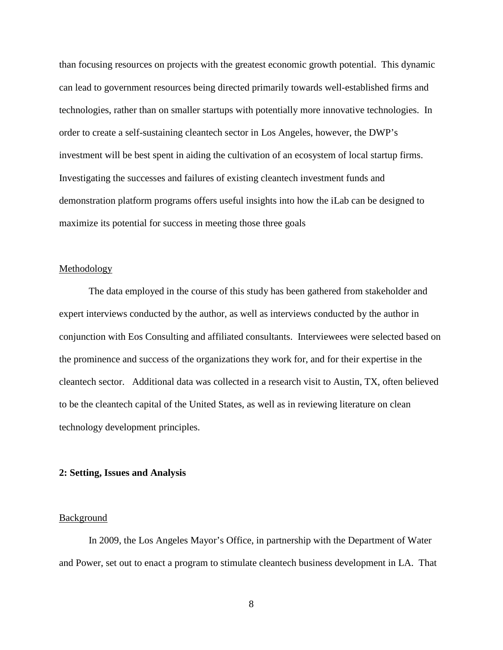than focusing resources on projects with the greatest economic growth potential. This dynamic can lead to government resources being directed primarily towards well-established firms and technologies, rather than on smaller startups with potentially more innovative technologies. In order to create a self-sustaining cleantech sector in Los Angeles, however, the DWP's investment will be best spent in aiding the cultivation of an ecosystem of local startup firms. Investigating the successes and failures of existing cleantech investment funds and demonstration platform programs offers useful insights into how the iLab can be designed to maximize its potential for success in meeting those three goals

## Methodology

The data employed in the course of this study has been gathered from stakeholder and expert interviews conducted by the author, as well as interviews conducted by the author in conjunction with Eos Consulting and affiliated consultants. Interviewees were selected based on the prominence and success of the organizations they work for, and for their expertise in the cleantech sector. Additional data was collected in a research visit to Austin, TX, often believed to be the cleantech capital of the United States, as well as in reviewing literature on clean technology development principles.

#### **2: Setting, Issues and Analysis**

#### Background

In 2009, the Los Angeles Mayor's Office, in partnership with the Department of Water and Power, set out to enact a program to stimulate cleantech business development in LA. That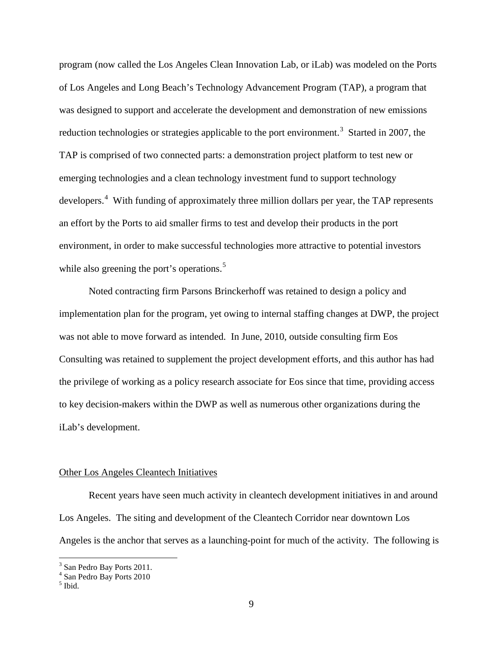program (now called the Los Angeles Clean Innovation Lab, or iLab) was modeled on the Ports of Los Angeles and Long Beach's Technology Advancement Program (TAP), a program that was designed to support and accelerate the development and demonstration of new emissions reduction technologies or strategies applicable to the port environment.<sup>[3](#page-6-1)</sup> Started in 2007, the TAP is comprised of two connected parts: a demonstration project platform to test new or emerging technologies and a clean technology investment fund to support technology developers.<sup>[4](#page-8-0)</sup> With funding of approximately three million dollars per year, the TAP represents an effort by the Ports to aid smaller firms to test and develop their products in the port environment, in order to make successful technologies more attractive to potential investors while also greening the port's operations.<sup>[5](#page-8-1)</sup>

Noted contracting firm Parsons Brinckerhoff was retained to design a policy and implementation plan for the program, yet owing to internal staffing changes at DWP, the project was not able to move forward as intended. In June, 2010, outside consulting firm Eos Consulting was retained to supplement the project development efforts, and this author has had the privilege of working as a policy research associate for Eos since that time, providing access to key decision-makers within the DWP as well as numerous other organizations during the iLab's development.

## Other Los Angeles Cleantech Initiatives

Recent years have seen much activity in cleantech development initiatives in and around Los Angeles. The siting and development of the Cleantech Corridor near downtown Los Angeles is the anchor that serves as a launching-point for much of the activity. The following is

<span id="page-8-2"></span><sup>&</sup>lt;sup>3</sup> San Pedro Bay Ports 2011.

<sup>4</sup> San Pedro Bay Ports 2010

<span id="page-8-1"></span><span id="page-8-0"></span><sup>5</sup> Ibid.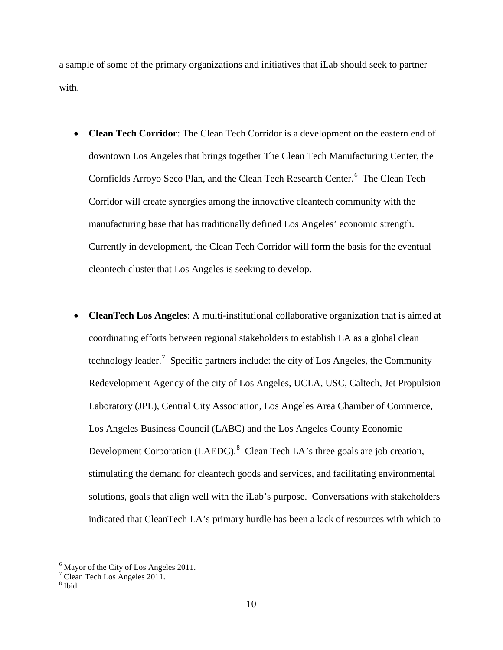a sample of some of the primary organizations and initiatives that iLab should seek to partner with.

- **Clean Tech Corridor**: The Clean Tech Corridor is a development on the eastern end of downtown Los Angeles that brings together The Clean Tech Manufacturing Center, the Cornfields Arroyo Seco Plan, and the Clean Tech Research Center.<sup>[6](#page-8-2)</sup> The Clean Tech Corridor will create synergies among the innovative cleantech community with the manufacturing base that has traditionally defined Los Angeles' economic strength. Currently in development, the Clean Tech Corridor will form the basis for the eventual cleantech cluster that Los Angeles is seeking to develop.
- **CleanTech Los Angeles**: A multi-institutional collaborative organization that is aimed at coordinating efforts between regional stakeholders to establish LA as a global clean technology leader.<sup>[7](#page-9-0)</sup> Specific partners include: the city of Los Angeles, the Community Redevelopment Agency of the city of Los Angeles, UCLA, USC, Caltech, Jet Propulsion Laboratory (JPL), Central City Association, Los Angeles Area Chamber of Commerce, Los Angeles Business Council (LABC) and the Los Angeles County Economic Development Corporation (LAEDC). $8$  Clean Tech LA's three goals are job creation, stimulating the demand for cleantech goods and services, and facilitating environmental solutions, goals that align well with the iLab's purpose. Conversations with stakeholders indicated that CleanTech LA's primary hurdle has been a lack of resources with which to

 $6$  Mayor of the City of Los Angeles 2011.

<span id="page-9-2"></span><span id="page-9-0"></span> $7$  Clean Tech Los Angeles 2011.

<span id="page-9-1"></span> $<sup>8</sup>$  Ibid.</sup>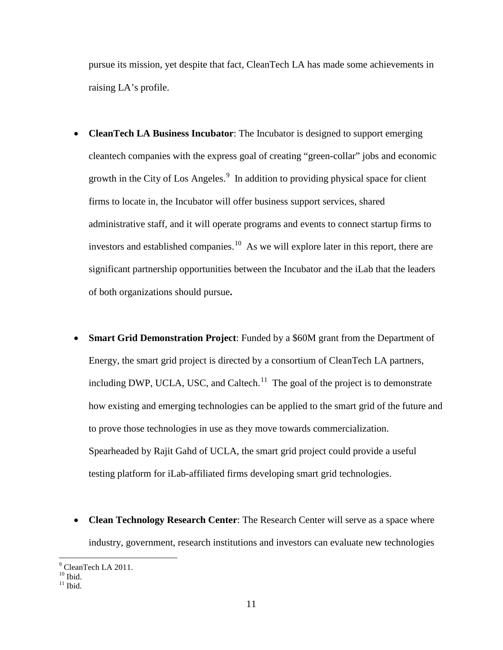pursue its mission, yet despite that fact, CleanTech LA has made some achievements in raising LA's profile.

- **CleanTech LA Business Incubator**: The Incubator is designed to support emerging cleantech companies with the express goal of creating "green-collar" jobs and economic growth in the City of Los Angeles. $\frac{9}{10}$  $\frac{9}{10}$  $\frac{9}{10}$  In addition to providing physical space for client firms to locate in, the Incubator will offer business support services, shared administrative staff, and it will operate programs and events to connect startup firms to investors and established companies.<sup>[10](#page-10-0)</sup> As we will explore later in this report, there are significant partnership opportunities between the Incubator and the iLab that the leaders of both organizations should pursue**.**
- **Smart Grid Demonstration Project**: Funded by a \$60M grant from the Department of Energy, the smart grid project is directed by a consortium of CleanTech LA partners, including DWP, UCLA, USC, and Caltech.<sup>11</sup> The goal of the project is to demonstrate how existing and emerging technologies can be applied to the smart grid of the future and to prove those technologies in use as they move towards commercialization. Spearheaded by Rajit Gahd of UCLA, the smart grid project could provide a useful testing platform for iLab-affiliated firms developing smart grid technologies.
- **Clean Technology Research Center**: The Research Center will serve as a space where industry, government, research institutions and investors can evaluate new technologies

 $^{9}$  CleanTech LA 2011.<br><sup>10</sup> Ibid.

<span id="page-10-1"></span><span id="page-10-0"></span> $11$  Ibid.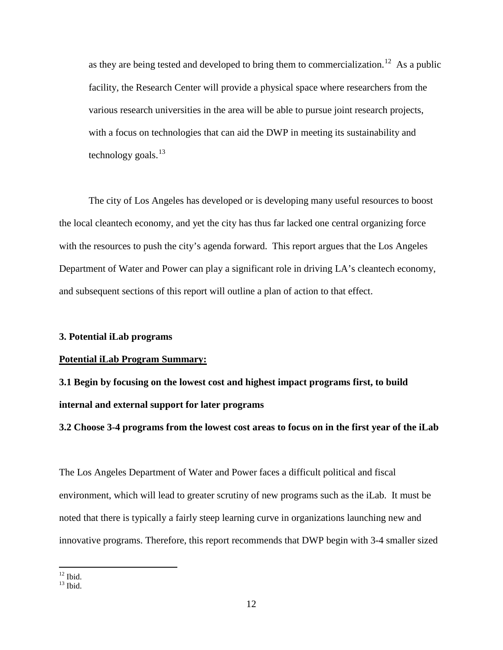as they are being tested and developed to bring them to commercialization.<sup>12</sup> As a public facility, the Research Center will provide a physical space where researchers from the various research universities in the area will be able to pursue joint research projects, with a focus on technologies that can aid the DWP in meeting its sustainability and technology goals. $^{13}$  $^{13}$  $^{13}$ 

The city of Los Angeles has developed or is developing many useful resources to boost the local cleantech economy, and yet the city has thus far lacked one central organizing force with the resources to push the city's agenda forward. This report argues that the Los Angeles Department of Water and Power can play a significant role in driving LA's cleantech economy, and subsequent sections of this report will outline a plan of action to that effect.

## **3. Potential iLab programs**

#### **Potential iLab Program Summary:**

**3.1 Begin by focusing on the lowest cost and highest impact programs first, to build internal and external support for later programs**

**3.2 Choose 3-4 programs from the lowest cost areas to focus on in the first year of the iLab**

The Los Angeles Department of Water and Power faces a difficult political and fiscal environment, which will lead to greater scrutiny of new programs such as the iLab. It must be noted that there is typically a fairly steep learning curve in organizations launching new and innovative programs. Therefore, this report recommends that DWP begin with 3-4 smaller sized

<span id="page-11-0"></span> $\frac{12}{13}$  Ibid.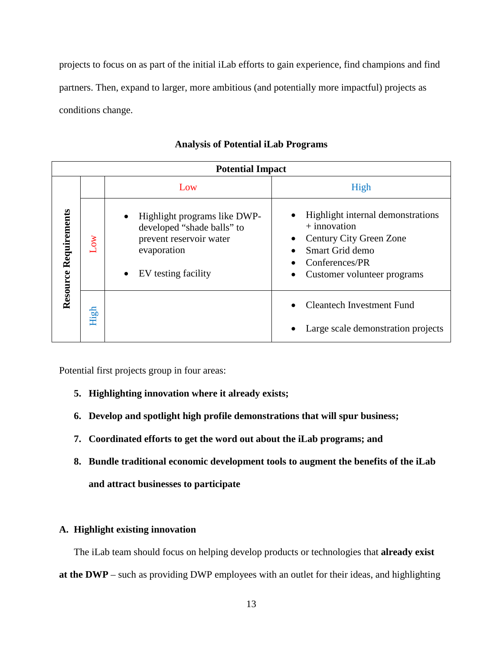projects to focus on as part of the initial iLab efforts to gain experience, find champions and find partners. Then, expand to larger, more ambitious (and potentially more impactful) projects as conditions change.

| <b>Potential Impact</b> |           |                                                                                                                                                       |                                                                                                                                                    |  |  |  |  |  |  |  |
|-------------------------|-----------|-------------------------------------------------------------------------------------------------------------------------------------------------------|----------------------------------------------------------------------------------------------------------------------------------------------------|--|--|--|--|--|--|--|
|                         |           | Low                                                                                                                                                   | High                                                                                                                                               |  |  |  |  |  |  |  |
| Resource Requirements   | <b>WO</b> | Highlight programs like DWP-<br>$\bullet$<br>developed "shade balls" to<br>prevent reservoir water<br>evaporation<br>EV testing facility<br>$\bullet$ | Highlight internal demonstrations<br>$+$ innovation<br>Century City Green Zone<br>Smart Grid demo<br>Conferences/PR<br>Customer volunteer programs |  |  |  |  |  |  |  |
|                         | High      |                                                                                                                                                       | Cleantech Investment Fund<br>Large scale demonstration projects                                                                                    |  |  |  |  |  |  |  |

# **Analysis of Potential iLab Programs**

Potential first projects group in four areas:

- **5. Highlighting innovation where it already exists;**
- **6. Develop and spotlight high profile demonstrations that will spur business;**
- **7. Coordinated efforts to get the word out about the iLab programs; and**
- **8. Bundle traditional economic development tools to augment the benefits of the iLab and attract businesses to participate**

# **A. Highlight existing innovation**

The iLab team should focus on helping develop products or technologies that **already exist at the DWP** – such as providing DWP employees with an outlet for their ideas, and highlighting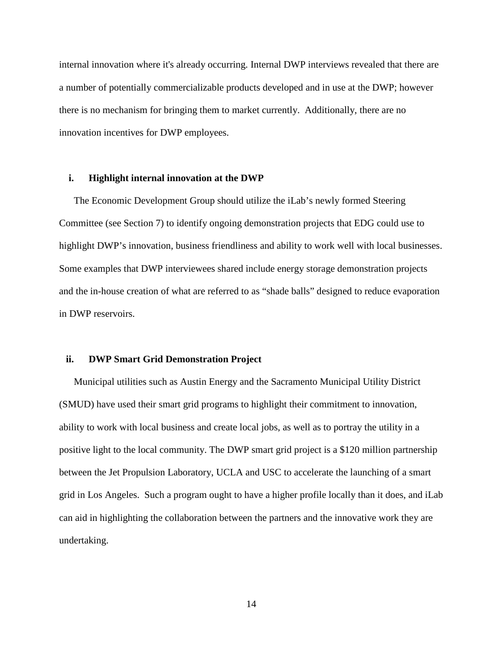internal innovation where it's already occurring. Internal DWP interviews revealed that there are a number of potentially commercializable products developed and in use at the DWP; however there is no mechanism for bringing them to market currently. Additionally, there are no innovation incentives for DWP employees.

## **i. Highlight internal innovation at the DWP**

The Economic Development Group should utilize the iLab's newly formed Steering Committee (see Section 7) to identify ongoing demonstration projects that EDG could use to highlight DWP's innovation, business friendliness and ability to work well with local businesses. Some examples that DWP interviewees shared include energy storage demonstration projects and the in-house creation of what are referred to as "shade balls" designed to reduce evaporation in DWP reservoirs.

## **ii. DWP Smart Grid Demonstration Project**

Municipal utilities such as Austin Energy and the Sacramento Municipal Utility District (SMUD) have used their smart grid programs to highlight their commitment to innovation, ability to work with local business and create local jobs, as well as to portray the utility in a positive light to the local community. The DWP smart grid project is a \$120 million partnership between the Jet Propulsion Laboratory, UCLA and USC to accelerate the launching of a smart grid in Los Angeles. Such a program ought to have a higher profile locally than it does, and iLab can aid in highlighting the collaboration between the partners and the innovative work they are undertaking.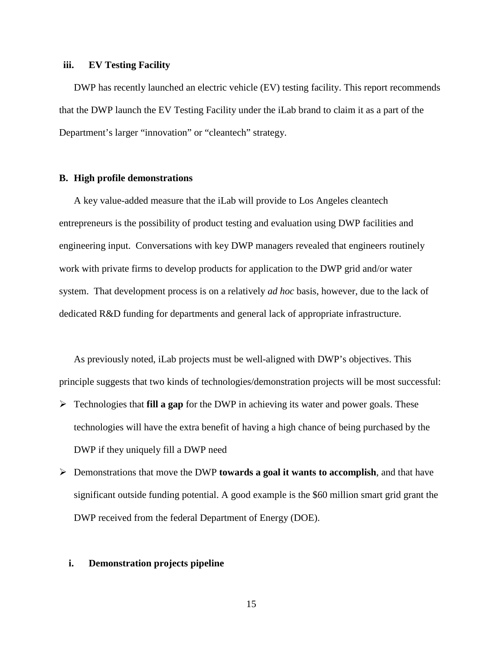## **iii. EV Testing Facility**

DWP has recently launched an electric vehicle (EV) testing facility. This report recommends that the DWP launch the EV Testing Facility under the iLab brand to claim it as a part of the Department's larger "innovation" or "cleantech" strategy.

## **B. High profile demonstrations**

A key value-added measure that the iLab will provide to Los Angeles cleantech entrepreneurs is the possibility of product testing and evaluation using DWP facilities and engineering input. Conversations with key DWP managers revealed that engineers routinely work with private firms to develop products for application to the DWP grid and/or water system. That development process is on a relatively *ad hoc* basis, however, due to the lack of dedicated R&D funding for departments and general lack of appropriate infrastructure.

As previously noted, iLab projects must be well-aligned with DWP's objectives. This principle suggests that two kinds of technologies/demonstration projects will be most successful:

- Technologies that **fill a gap** for the DWP in achieving its water and power goals. These technologies will have the extra benefit of having a high chance of being purchased by the DWP if they uniquely fill a DWP need
- Demonstrations that move the DWP **towards a goal it wants to accomplish**, and that have significant outside funding potential. A good example is the \$60 million smart grid grant the DWP received from the federal Department of Energy (DOE).

## **i. Demonstration projects pipeline**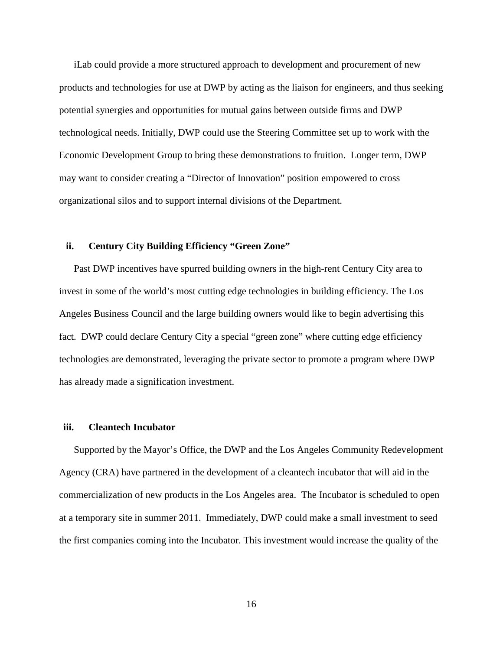iLab could provide a more structured approach to development and procurement of new products and technologies for use at DWP by acting as the liaison for engineers, and thus seeking potential synergies and opportunities for mutual gains between outside firms and DWP technological needs. Initially, DWP could use the Steering Committee set up to work with the Economic Development Group to bring these demonstrations to fruition. Longer term, DWP may want to consider creating a "Director of Innovation" position empowered to cross organizational silos and to support internal divisions of the Department.

## **ii. Century City Building Efficiency "Green Zone"**

Past DWP incentives have spurred building owners in the high-rent Century City area to invest in some of the world's most cutting edge technologies in building efficiency. The Los Angeles Business Council and the large building owners would like to begin advertising this fact. DWP could declare Century City a special "green zone" where cutting edge efficiency technologies are demonstrated, leveraging the private sector to promote a program where DWP has already made a signification investment.

## **iii. Cleantech Incubator**

Supported by the Mayor's Office, the DWP and the Los Angeles Community Redevelopment Agency (CRA) have partnered in the development of a cleantech incubator that will aid in the commercialization of new products in the Los Angeles area. The Incubator is scheduled to open at a temporary site in summer 2011. Immediately, DWP could make a small investment to seed the first companies coming into the Incubator. This investment would increase the quality of the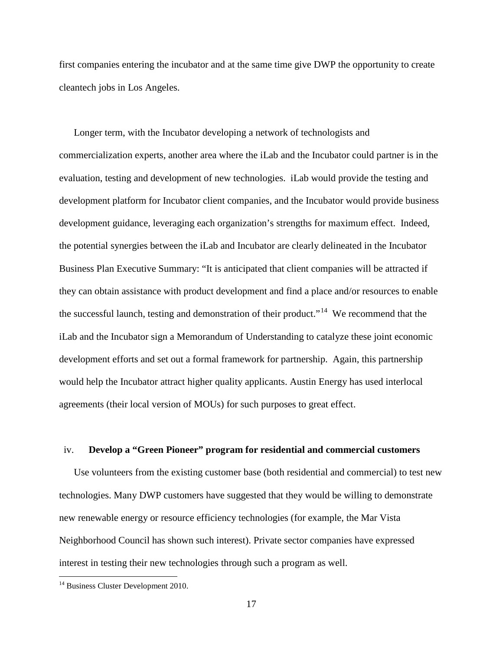first companies entering the incubator and at the same time give DWP the opportunity to create cleantech jobs in Los Angeles.

Longer term, with the Incubator developing a network of technologists and commercialization experts, another area where the iLab and the Incubator could partner is in the evaluation, testing and development of new technologies. iLab would provide the testing and development platform for Incubator client companies, and the Incubator would provide business development guidance, leveraging each organization's strengths for maximum effect. Indeed, the potential synergies between the iLab and Incubator are clearly delineated in the Incubator Business Plan Executive Summary: "It is anticipated that client companies will be attracted if they can obtain assistance with product development and find a place and/or resources to enable the successful launch, testing and demonstration of their product."<sup>14</sup> We recommend that the iLab and the Incubator sign a Memorandum of Understanding to catalyze these joint economic development efforts and set out a formal framework for partnership. Again, this partnership would help the Incubator attract higher quality applicants. Austin Energy has used interlocal agreements (their local version of MOUs) for such purposes to great effect.

## iv. **Develop a "Green Pioneer" program for residential and commercial customers**

Use volunteers from the existing customer base (both residential and commercial) to test new technologies. Many DWP customers have suggested that they would be willing to demonstrate new renewable energy or resource efficiency technologies (for example, the Mar Vista Neighborhood Council has shown such interest). Private sector companies have expressed interest in testing their new technologies through such a program as well.

<span id="page-16-0"></span><sup>&</sup>lt;sup>14</sup> Business Cluster Development 2010.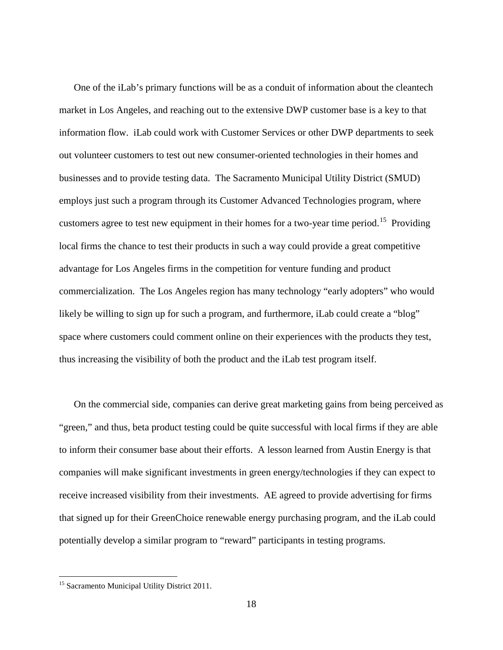One of the iLab's primary functions will be as a conduit of information about the cleantech market in Los Angeles, and reaching out to the extensive DWP customer base is a key to that information flow. iLab could work with Customer Services or other DWP departments to seek out volunteer customers to test out new consumer-oriented technologies in their homes and businesses and to provide testing data. The Sacramento Municipal Utility District (SMUD) employs just such a program through its Customer Advanced Technologies program, where customers agree to test new equipment in their homes for a two-year time period.<sup>15</sup> Providing local firms the chance to test their products in such a way could provide a great competitive advantage for Los Angeles firms in the competition for venture funding and product commercialization. The Los Angeles region has many technology "early adopters" who would likely be willing to sign up for such a program, and furthermore, iLab could create a "blog" space where customers could comment online on their experiences with the products they test, thus increasing the visibility of both the product and the iLab test program itself.

On the commercial side, companies can derive great marketing gains from being perceived as "green," and thus, beta product testing could be quite successful with local firms if they are able to inform their consumer base about their efforts. A lesson learned from Austin Energy is that companies will make significant investments in green energy/technologies if they can expect to receive increased visibility from their investments. AE agreed to provide advertising for firms that signed up for their GreenChoice renewable energy purchasing program, and the iLab could potentially develop a similar program to "reward" participants in testing programs.

<span id="page-17-0"></span><sup>&</sup>lt;sup>15</sup> Sacramento Municipal Utility District 2011.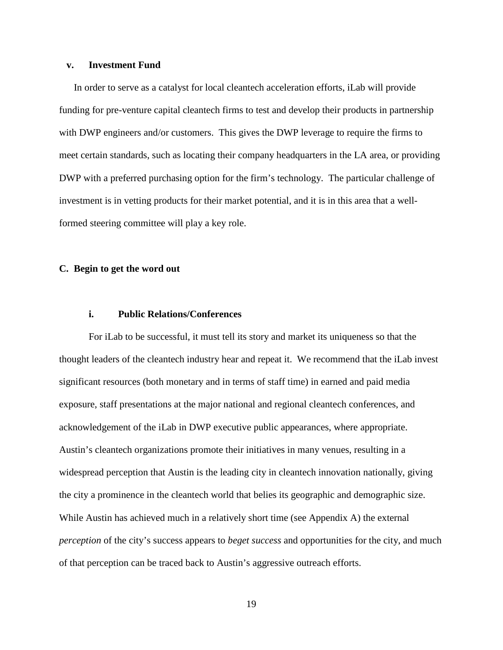## **v. Investment Fund**

In order to serve as a catalyst for local cleantech acceleration efforts, iLab will provide funding for pre-venture capital cleantech firms to test and develop their products in partnership with DWP engineers and/or customers. This gives the DWP leverage to require the firms to meet certain standards, such as locating their company headquarters in the LA area, or providing DWP with a preferred purchasing option for the firm's technology. The particular challenge of investment is in vetting products for their market potential, and it is in this area that a wellformed steering committee will play a key role.

## **C. Begin to get the word out**

# **i. Public Relations/Conferences**

For iLab to be successful, it must tell its story and market its uniqueness so that the thought leaders of the cleantech industry hear and repeat it. We recommend that the iLab invest significant resources (both monetary and in terms of staff time) in earned and paid media exposure, staff presentations at the major national and regional cleantech conferences, and acknowledgement of the iLab in DWP executive public appearances, where appropriate. Austin's cleantech organizations promote their initiatives in many venues, resulting in a widespread perception that Austin is the leading city in cleantech innovation nationally, giving the city a prominence in the cleantech world that belies its geographic and demographic size. While Austin has achieved much in a relatively short time (see Appendix A) the external *perception* of the city's success appears to *beget success* and opportunities for the city, and much of that perception can be traced back to Austin's aggressive outreach efforts.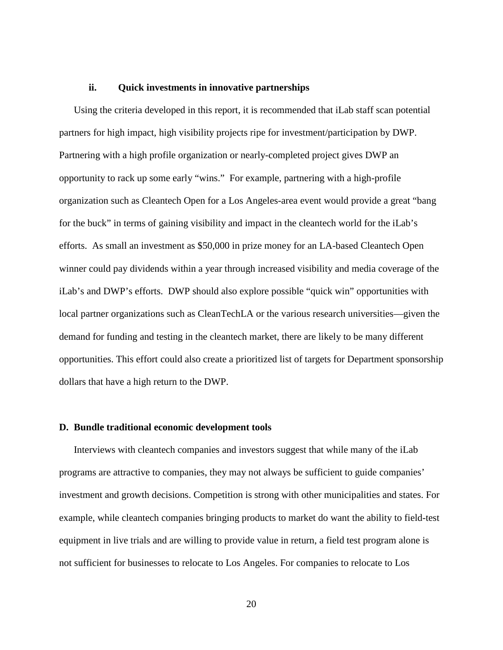## **ii. Quick investments in innovative partnerships**

Using the criteria developed in this report, it is recommended that iLab staff scan potential partners for high impact, high visibility projects ripe for investment/participation by DWP. Partnering with a high profile organization or nearly-completed project gives DWP an opportunity to rack up some early "wins." For example, partnering with a high-profile organization such as Cleantech Open for a Los Angeles-area event would provide a great "bang for the buck" in terms of gaining visibility and impact in the cleantech world for the iLab's efforts. As small an investment as \$50,000 in prize money for an LA-based Cleantech Open winner could pay dividends within a year through increased visibility and media coverage of the iLab's and DWP's efforts. DWP should also explore possible "quick win" opportunities with local partner organizations such as CleanTechLA or the various research universities—given the demand for funding and testing in the cleantech market, there are likely to be many different opportunities. This effort could also create a prioritized list of targets for Department sponsorship dollars that have a high return to the DWP.

## **D. Bundle traditional economic development tools**

Interviews with cleantech companies and investors suggest that while many of the iLab programs are attractive to companies, they may not always be sufficient to guide companies' investment and growth decisions. Competition is strong with other municipalities and states. For example, while cleantech companies bringing products to market do want the ability to field-test equipment in live trials and are willing to provide value in return, a field test program alone is not sufficient for businesses to relocate to Los Angeles. For companies to relocate to Los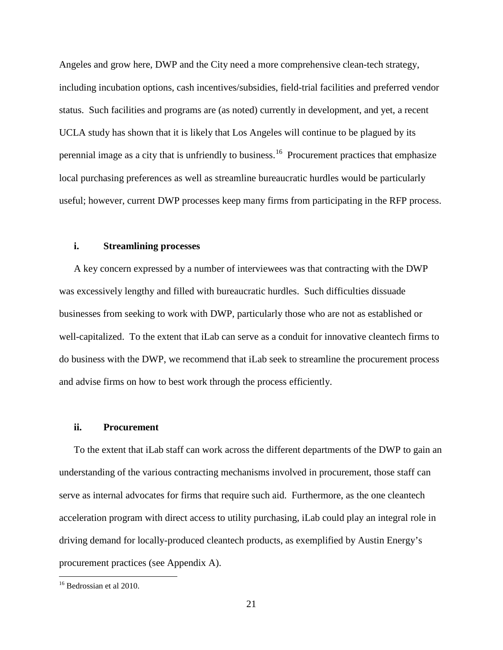Angeles and grow here, DWP and the City need a more comprehensive clean-tech strategy, including incubation options, cash incentives/subsidies, field-trial facilities and preferred vendor status. Such facilities and programs are (as noted) currently in development, and yet, a recent UCLA study has shown that it is likely that Los Angeles will continue to be plagued by its perennial image as a city that is unfriendly to business.<sup>[16](#page-17-0)</sup> Procurement practices that emphasize local purchasing preferences as well as streamline bureaucratic hurdles would be particularly useful; however, current DWP processes keep many firms from participating in the RFP process.

## **i. Streamlining processes**

A key concern expressed by a number of interviewees was that contracting with the DWP was excessively lengthy and filled with bureaucratic hurdles. Such difficulties dissuade businesses from seeking to work with DWP, particularly those who are not as established or well-capitalized. To the extent that iLab can serve as a conduit for innovative cleantech firms to do business with the DWP, we recommend that iLab seek to streamline the procurement process and advise firms on how to best work through the process efficiently.

#### **ii. Procurement**

To the extent that iLab staff can work across the different departments of the DWP to gain an understanding of the various contracting mechanisms involved in procurement, those staff can serve as internal advocates for firms that require such aid. Furthermore, as the one cleantech acceleration program with direct access to utility purchasing, iLab could play an integral role in driving demand for locally-produced cleantech products, as exemplified by Austin Energy's procurement practices (see Appendix A).

<span id="page-20-0"></span> <sup>16</sup> Bedrossian et al 2010.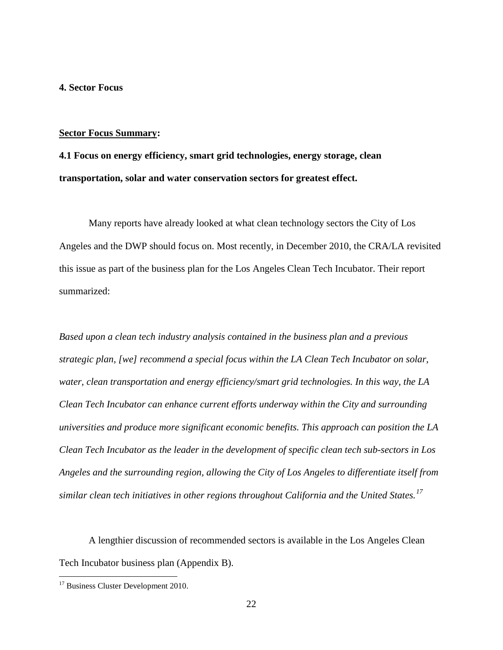## **4. Sector Focus**

#### **Sector Focus Summary:**

**4.1 Focus on energy efficiency, smart grid technologies, energy storage, clean transportation, solar and water conservation sectors for greatest effect.**

Many reports have already looked at what clean technology sectors the City of Los Angeles and the DWP should focus on. Most recently, in December 2010, the CRA/LA revisited this issue as part of the business plan for the Los Angeles Clean Tech Incubator. Their report summarized:

*Based upon a clean tech industry analysis contained in the business plan and a previous strategic plan, [we] recommend a special focus within the LA Clean Tech Incubator on solar, water, clean transportation and energy efficiency/smart grid technologies. In this way, the LA Clean Tech Incubator can enhance current efforts underway within the City and surrounding universities and produce more significant economic benefits. This approach can position the LA Clean Tech Incubator as the leader in the development of specific clean tech sub-sectors in Los Angeles and the surrounding region, allowing the City of Los Angeles to differentiate itself from similar clean tech initiatives in other regions throughout California and the United States.[17](#page-20-0)*

<span id="page-21-0"></span>A lengthier discussion of recommended sectors is available in the Los Angeles Clean Tech Incubator business plan (Appendix B).

<sup>&</sup>lt;sup>17</sup> Business Cluster Development 2010.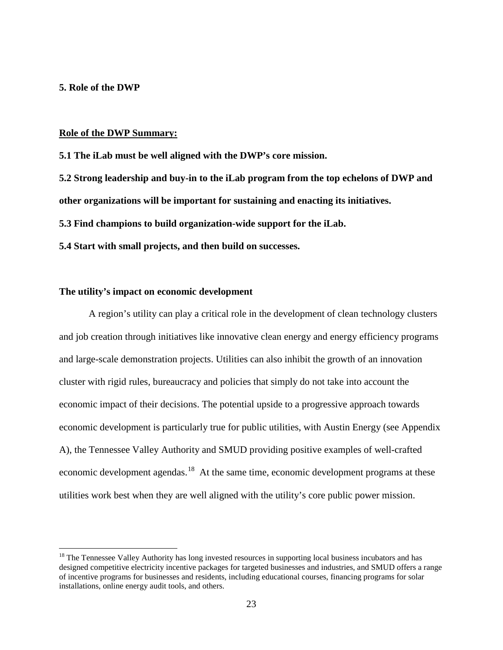# **5. Role of the DWP**

#### **Role of the DWP Summary:**

**5.1 The iLab must be well aligned with the DWP's core mission.**

**5.2 Strong leadership and buy-in to the iLab program from the top echelons of DWP and** 

**other organizations will be important for sustaining and enacting its initiatives.**

**5.3 Find champions to build organization-wide support for the iLab.**

**5.4 Start with small projects, and then build on successes.** 

## **The utility's impact on economic development**

A region's utility can play a critical role in the development of clean technology clusters and job creation through initiatives like innovative clean energy and energy efficiency programs and large-scale demonstration projects. Utilities can also inhibit the growth of an innovation cluster with rigid rules, bureaucracy and policies that simply do not take into account the economic impact of their decisions. The potential upside to a progressive approach towards economic development is particularly true for public utilities, with Austin Energy (see Appendix A), the Tennessee Valley Authority and SMUD providing positive examples of well-crafted economic development agendas.<sup>[18](#page-21-0)</sup> At the same time, economic development programs at these utilities work best when they are well aligned with the utility's core public power mission.

<span id="page-22-0"></span><sup>&</sup>lt;sup>18</sup> The Tennessee Valley Authority has long invested resources in supporting local business incubators and has designed competitive electricity incentive packages for targeted businesses and industries, and SMUD offers a range of incentive programs for businesses and residents, including educational courses, financing programs for solar installations, online energy audit tools, and others.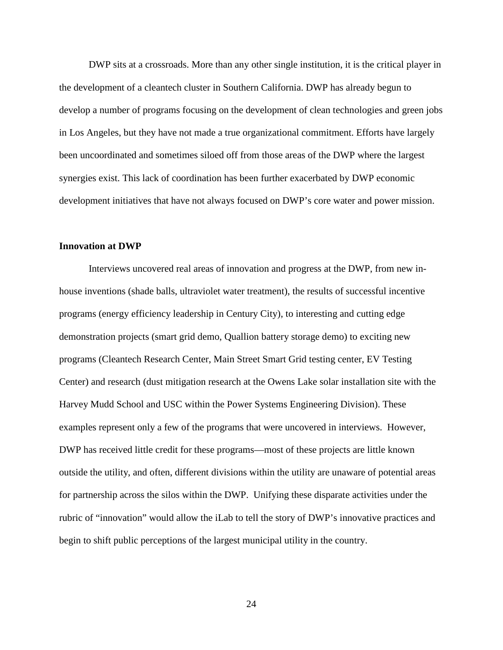DWP sits at a crossroads. More than any other single institution, it is the critical player in the development of a cleantech cluster in Southern California. DWP has already begun to develop a number of programs focusing on the development of clean technologies and green jobs in Los Angeles, but they have not made a true organizational commitment. Efforts have largely been uncoordinated and sometimes siloed off from those areas of the DWP where the largest synergies exist. This lack of coordination has been further exacerbated by DWP economic development initiatives that have not always focused on DWP's core water and power mission.

## **Innovation at DWP**

Interviews uncovered real areas of innovation and progress at the DWP, from new inhouse inventions (shade balls, ultraviolet water treatment), the results of successful incentive programs (energy efficiency leadership in Century City), to interesting and cutting edge demonstration projects (smart grid demo, Quallion battery storage demo) to exciting new programs (Cleantech Research Center, Main Street Smart Grid testing center, EV Testing Center) and research (dust mitigation research at the Owens Lake solar installation site with the Harvey Mudd School and USC within the Power Systems Engineering Division). These examples represent only a few of the programs that were uncovered in interviews. However, DWP has received little credit for these programs—most of these projects are little known outside the utility, and often, different divisions within the utility are unaware of potential areas for partnership across the silos within the DWP. Unifying these disparate activities under the rubric of "innovation" would allow the iLab to tell the story of DWP's innovative practices and begin to shift public perceptions of the largest municipal utility in the country.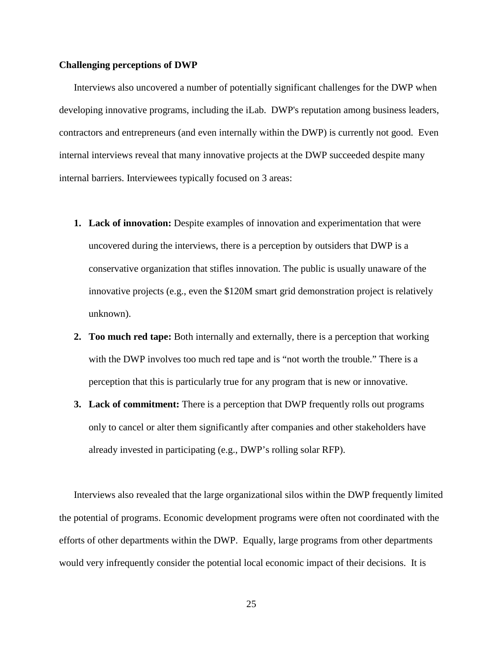## **Challenging perceptions of DWP**

Interviews also uncovered a number of potentially significant challenges for the DWP when developing innovative programs, including the iLab. DWP's reputation among business leaders, contractors and entrepreneurs (and even internally within the DWP) is currently not good. Even internal interviews reveal that many innovative projects at the DWP succeeded despite many internal barriers. Interviewees typically focused on 3 areas:

- **1. Lack of innovation:** Despite examples of innovation and experimentation that were uncovered during the interviews, there is a perception by outsiders that DWP is a conservative organization that stifles innovation. The public is usually unaware of the innovative projects (e.g., even the \$120M smart grid demonstration project is relatively unknown).
- **2. Too much red tape:** Both internally and externally, there is a perception that working with the DWP involves too much red tape and is "not worth the trouble." There is a perception that this is particularly true for any program that is new or innovative.
- **3. Lack of commitment:** There is a perception that DWP frequently rolls out programs only to cancel or alter them significantly after companies and other stakeholders have already invested in participating (e.g., DWP's rolling solar RFP).

Interviews also revealed that the large organizational silos within the DWP frequently limited the potential of programs. Economic development programs were often not coordinated with the efforts of other departments within the DWP. Equally, large programs from other departments would very infrequently consider the potential local economic impact of their decisions. It is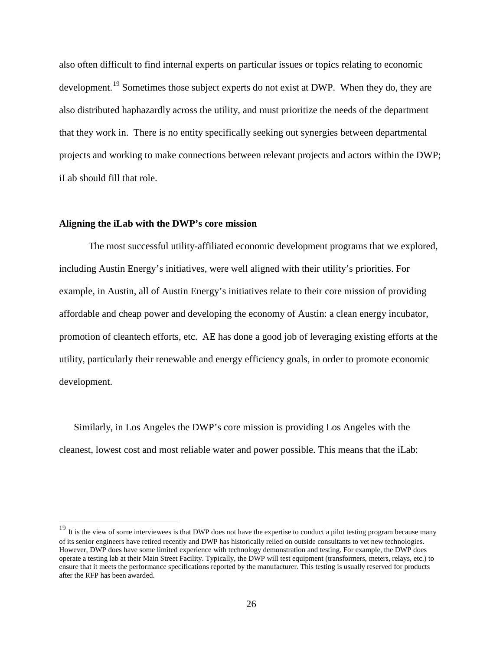also often difficult to find internal experts on particular issues or topics relating to economic development.<sup>[19](#page-22-0)</sup> Sometimes those subject experts do not exist at DWP. When they do, they are also distributed haphazardly across the utility, and must prioritize the needs of the department that they work in. There is no entity specifically seeking out synergies between departmental projects and working to make connections between relevant projects and actors within the DWP; iLab should fill that role.

## **Aligning the iLab with the DWP's core mission**

The most successful utility-affiliated economic development programs that we explored, including Austin Energy's initiatives, were well aligned with their utility's priorities. For example, in Austin, all of Austin Energy's initiatives relate to their core mission of providing affordable and cheap power and developing the economy of Austin: a clean energy incubator, promotion of cleantech efforts, etc. AE has done a good job of leveraging existing efforts at the utility, particularly their renewable and energy efficiency goals, in order to promote economic development.

Similarly, in Los Angeles the DWP's core mission is providing Los Angeles with the cleanest, lowest cost and most reliable water and power possible. This means that the iLab:

<span id="page-25-0"></span><sup>&</sup>lt;sup>19</sup> It is the view of some interviewees is that DWP does not have the expertise to conduct a pilot testing program because many of its senior engineers have retired recently and DWP has historically relied on outside consultants to vet new technologies. However, DWP does have some limited experience with technology demonstration and testing. For example, the DWP does operate a testing lab at their Main Street Facility. Typically, the DWP will test equipment (transformers, meters, relays, etc.) to ensure that it meets the performance specifications reported by the manufacturer. This testing is usually reserved for products after the RFP has been awarded.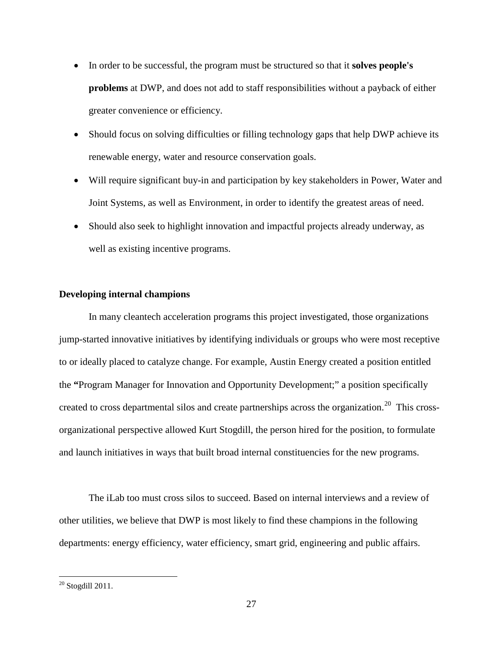- In order to be successful, the program must be structured so that it **solves people's problems** at DWP, and does not add to staff responsibilities without a payback of either greater convenience or efficiency.
- Should focus on solving difficulties or filling technology gaps that help DWP achieve its renewable energy, water and resource conservation goals.
- Will require significant buy-in and participation by key stakeholders in Power, Water and Joint Systems, as well as Environment, in order to identify the greatest areas of need.
- Should also seek to highlight innovation and impactful projects already underway, as well as existing incentive programs.

## **Developing internal champions**

In many cleantech acceleration programs this project investigated, those organizations jump-started innovative initiatives by identifying individuals or groups who were most receptive to or ideally placed to catalyze change. For example, Austin Energy created a position entitled the **"**Program Manager for Innovation and Opportunity Development;" a position specifically created to cross departmental silos and create partnerships across the organization.<sup>[20](#page-25-0)</sup> This crossorganizational perspective allowed Kurt Stogdill, the person hired for the position, to formulate and launch initiatives in ways that built broad internal constituencies for the new programs.

The iLab too must cross silos to succeed. Based on internal interviews and a review of other utilities, we believe that DWP is most likely to find these champions in the following departments: energy efficiency, water efficiency, smart grid, engineering and public affairs.

<span id="page-26-0"></span> $20$  Stogdill 2011.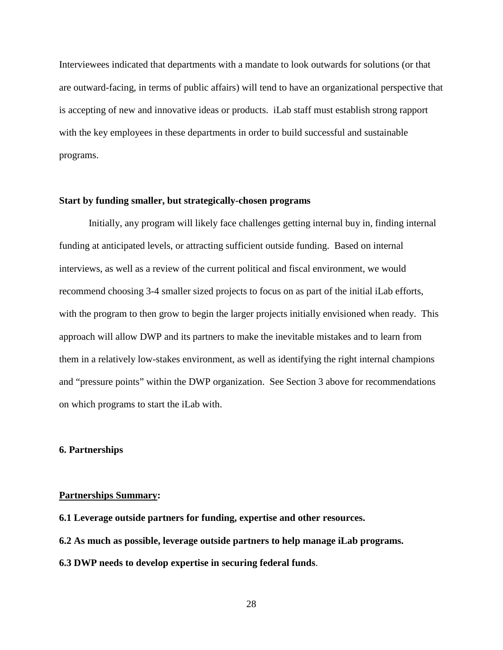Interviewees indicated that departments with a mandate to look outwards for solutions (or that are outward-facing, in terms of public affairs) will tend to have an organizational perspective that is accepting of new and innovative ideas or products. iLab staff must establish strong rapport with the key employees in these departments in order to build successful and sustainable programs.

## **Start by funding smaller, but strategically-chosen programs**

Initially, any program will likely face challenges getting internal buy in, finding internal funding at anticipated levels, or attracting sufficient outside funding. Based on internal interviews, as well as a review of the current political and fiscal environment, we would recommend choosing 3-4 smaller sized projects to focus on as part of the initial iLab efforts, with the program to then grow to begin the larger projects initially envisioned when ready. This approach will allow DWP and its partners to make the inevitable mistakes and to learn from them in a relatively low-stakes environment, as well as identifying the right internal champions and "pressure points" within the DWP organization. See Section 3 above for recommendations on which programs to start the iLab with.

#### **6. Partnerships**

#### **Partnerships Summary:**

- **6.1 Leverage outside partners for funding, expertise and other resources.**
- **6.2 As much as possible, leverage outside partners to help manage iLab programs.**
- **6.3 DWP needs to develop expertise in securing federal funds**.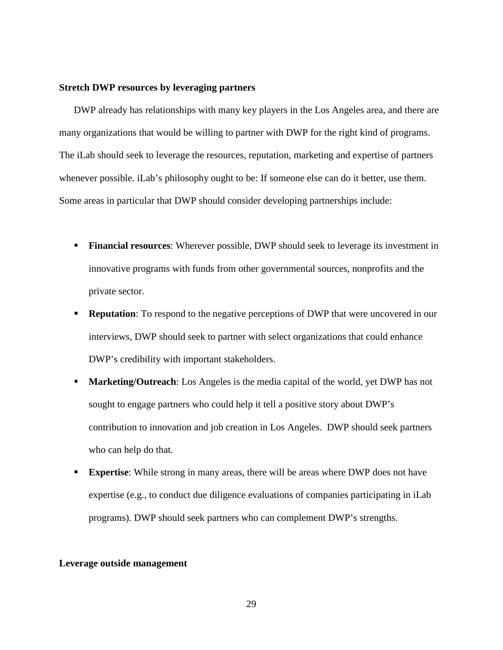## **Stretch DWP resources by leveraging partners**

DWP already has relationships with many key players in the Los Angeles area, and there are many organizations that would be willing to partner with DWP for the right kind of programs. The iLab should seek to leverage the resources, reputation, marketing and expertise of partners whenever possible. iLab's philosophy ought to be: If someone else can do it better, use them. Some areas in particular that DWP should consider developing partnerships include:

- **Financial resources:** Wherever possible, DWP should seek to leverage its investment in innovative programs with funds from other governmental sources, nonprofits and the private sector.
- **Reputation**: To respond to the negative perceptions of DWP that were uncovered in our interviews, DWP should seek to partner with select organizations that could enhance DWP's credibility with important stakeholders.
- **Marketing/Outreach:** Los Angeles is the media capital of the world, yet DWP has not sought to engage partners who could help it tell a positive story about DWP's contribution to innovation and job creation in Los Angeles. DWP should seek partners who can help do that.
- **Expertise**: While strong in many areas, there will be areas where DWP does not have expertise (e.g., to conduct due diligence evaluations of companies participating in iLab programs). DWP should seek partners who can complement DWP's strengths.

#### **Leverage outside management**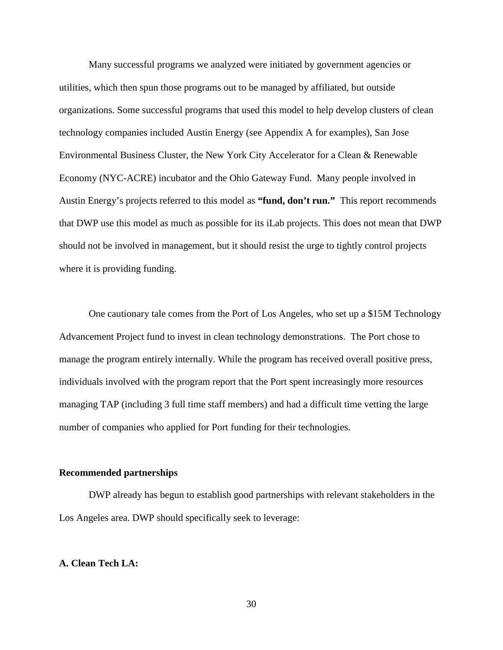Many successful programs we analyzed were initiated by government agencies or utilities, which then spun those programs out to be managed by affiliated, but outside organizations. Some successful programs that used this model to help develop clusters of clean technology companies included Austin Energy (see Appendix A for examples), San Jose Environmental Business Cluster, the New York City Accelerator for a Clean & Renewable Economy (NYC-ACRE) incubator and the Ohio Gateway Fund. Many people involved in Austin Energy's projects referred to this model as **"fund, don't run."** This report recommends that DWP use this model as much as possible for its iLab projects. This does not mean that DWP should not be involved in management, but it should resist the urge to tightly control projects where it is providing funding.

One cautionary tale comes from the Port of Los Angeles, who set up a \$15M Technology Advancement Project fund to invest in clean technology demonstrations. The Port chose to manage the program entirely internally. While the program has received overall positive press, individuals involved with the program report that the Port spent increasingly more resources managing TAP (including 3 full time staff members) and had a difficult time vetting the large number of companies who applied for Port funding for their technologies.

## **Recommended partnerships**

DWP already has begun to establish good partnerships with relevant stakeholders in the Los Angeles area. DWP should specifically seek to leverage:

## **A. Clean Tech LA:**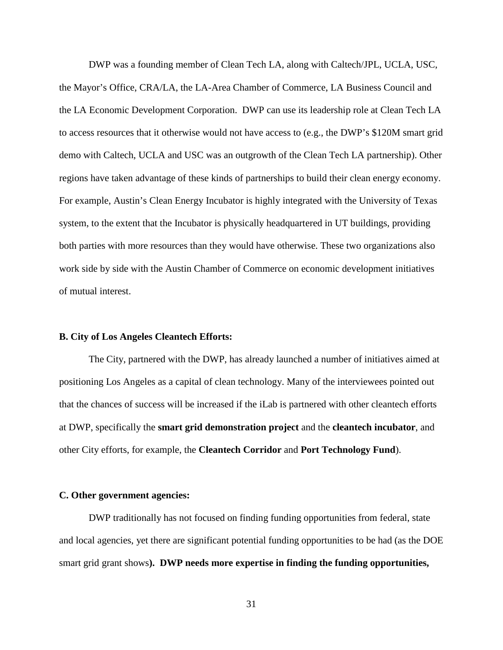DWP was a founding member of Clean Tech LA, along with Caltech/JPL, UCLA, USC, the Mayor's Office, CRA/LA, the LA-Area Chamber of Commerce, LA Business Council and the LA Economic Development Corporation. DWP can use its leadership role at Clean Tech LA to access resources that it otherwise would not have access to (e.g., the DWP's \$120M smart grid demo with Caltech, UCLA and USC was an outgrowth of the Clean Tech LA partnership). Other regions have taken advantage of these kinds of partnerships to build their clean energy economy. For example, Austin's Clean Energy Incubator is highly integrated with the University of Texas system, to the extent that the Incubator is physically headquartered in UT buildings, providing both parties with more resources than they would have otherwise. These two organizations also work side by side with the Austin Chamber of Commerce on economic development initiatives of mutual interest.

## **B. City of Los Angeles Cleantech Efforts:**

The City, partnered with the DWP, has already launched a number of initiatives aimed at positioning Los Angeles as a capital of clean technology. Many of the interviewees pointed out that the chances of success will be increased if the iLab is partnered with other cleantech efforts at DWP, specifically the **smart grid demonstration project** and the **cleantech incubator**, and other City efforts, for example, the **Cleantech Corridor** and **Port Technology Fund**).

#### **C. Other government agencies:**

DWP traditionally has not focused on finding funding opportunities from federal, state and local agencies, yet there are significant potential funding opportunities to be had (as the DOE smart grid grant shows**). DWP needs more expertise in finding the funding opportunities,**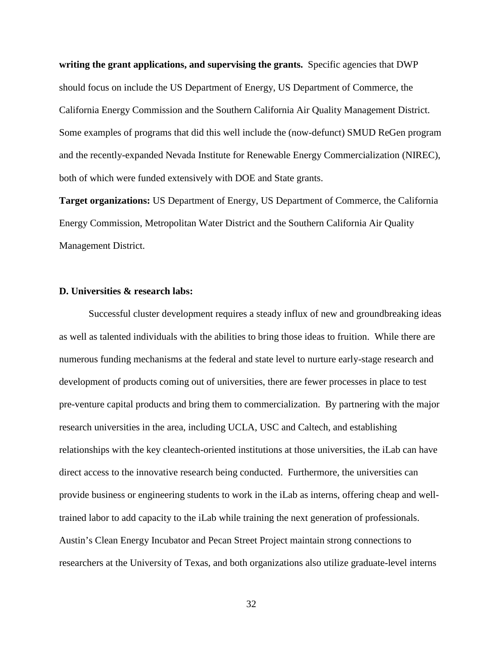**writing the grant applications, and supervising the grants.** Specific agencies that DWP should focus on include the US Department of Energy, US Department of Commerce, the California Energy Commission and the Southern California Air Quality Management District. Some examples of programs that did this well include the (now-defunct) SMUD ReGen program and the recently-expanded Nevada Institute for Renewable Energy Commercialization (NIREC), both of which were funded extensively with DOE and State grants.

**Target organizations:** US Department of Energy, US Department of Commerce, the California Energy Commission, Metropolitan Water District and the Southern California Air Quality Management District.

## **D. Universities & research labs:**

Successful cluster development requires a steady influx of new and groundbreaking ideas as well as talented individuals with the abilities to bring those ideas to fruition. While there are numerous funding mechanisms at the federal and state level to nurture early-stage research and development of products coming out of universities, there are fewer processes in place to test pre-venture capital products and bring them to commercialization. By partnering with the major research universities in the area, including UCLA, USC and Caltech, and establishing relationships with the key cleantech-oriented institutions at those universities, the iLab can have direct access to the innovative research being conducted. Furthermore, the universities can provide business or engineering students to work in the iLab as interns, offering cheap and welltrained labor to add capacity to the iLab while training the next generation of professionals. Austin's Clean Energy Incubator and Pecan Street Project maintain strong connections to researchers at the University of Texas, and both organizations also utilize graduate-level interns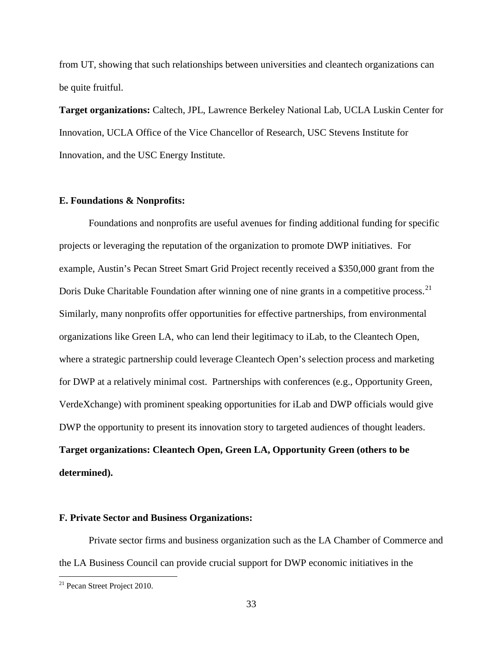from UT, showing that such relationships between universities and cleantech organizations can be quite fruitful.

**Target organizations:** Caltech, JPL, Lawrence Berkeley National Lab, UCLA Luskin Center for Innovation, UCLA Office of the Vice Chancellor of Research, USC Stevens Institute for Innovation, and the USC Energy Institute.

## **E. Foundations & Nonprofits:**

Foundations and nonprofits are useful avenues for finding additional funding for specific projects or leveraging the reputation of the organization to promote DWP initiatives. For example, Austin's Pecan Street Smart Grid Project recently received a \$350,000 grant from the Doris Duke Charitable Foundation after winning one of nine grants in a competitive process.<sup>[21](#page-26-0)</sup> Similarly, many nonprofits offer opportunities for effective partnerships, from environmental organizations like Green LA, who can lend their legitimacy to iLab, to the Cleantech Open, where a strategic partnership could leverage Cleantech Open's selection process and marketing for DWP at a relatively minimal cost. Partnerships with conferences (e.g., Opportunity Green, VerdeXchange) with prominent speaking opportunities for iLab and DWP officials would give DWP the opportunity to present its innovation story to targeted audiences of thought leaders. **Target organizations: Cleantech Open, Green LA, Opportunity Green (others to be determined).**

#### <span id="page-32-0"></span>**F. Private Sector and Business Organizations:**

Private sector firms and business organization such as the LA Chamber of Commerce and the LA Business Council can provide crucial support for DWP economic initiatives in the

<sup>&</sup>lt;sup>21</sup> Pecan Street Project 2010.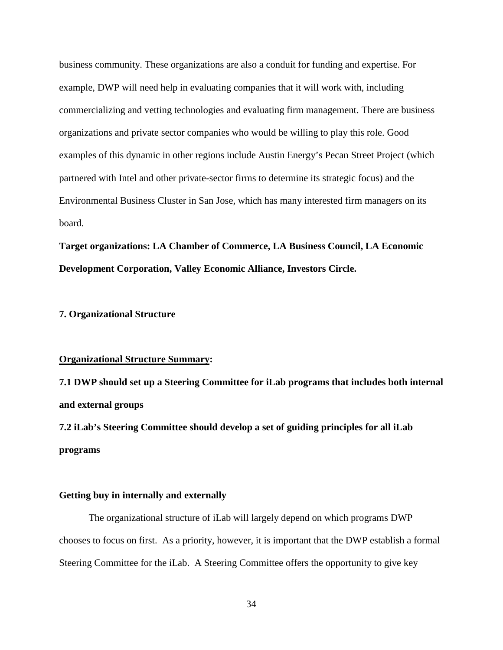business community. These organizations are also a conduit for funding and expertise. For example, DWP will need help in evaluating companies that it will work with, including commercializing and vetting technologies and evaluating firm management. There are business organizations and private sector companies who would be willing to play this role. Good examples of this dynamic in other regions include Austin Energy's Pecan Street Project (which partnered with Intel and other private-sector firms to determine its strategic focus) and the Environmental Business Cluster in San Jose, which has many interested firm managers on its board.

**Target organizations: LA Chamber of Commerce, LA Business Council, LA Economic Development Corporation, Valley Economic Alliance, Investors Circle.**

#### **7. Organizational Structure**

#### **Organizational Structure Summary:**

**7.1 DWP should set up a Steering Committee for iLab programs that includes both internal and external groups**

**7.2 iLab's Steering Committee should develop a set of guiding principles for all iLab programs**

### **Getting buy in internally and externally**

The organizational structure of iLab will largely depend on which programs DWP chooses to focus on first. As a priority, however, it is important that the DWP establish a formal Steering Committee for the iLab. A Steering Committee offers the opportunity to give key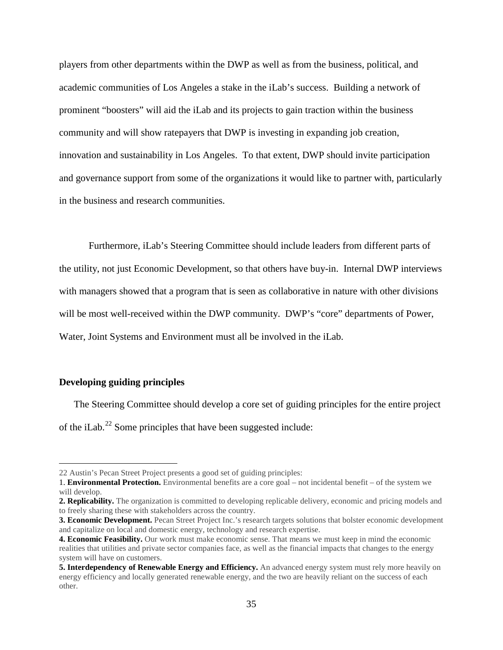players from other departments within the DWP as well as from the business, political, and academic communities of Los Angeles a stake in the iLab's success. Building a network of prominent "boosters" will aid the iLab and its projects to gain traction within the business community and will show ratepayers that DWP is investing in expanding job creation, innovation and sustainability in Los Angeles. To that extent, DWP should invite participation and governance support from some of the organizations it would like to partner with, particularly in the business and research communities.

Furthermore, iLab's Steering Committee should include leaders from different parts of the utility, not just Economic Development, so that others have buy-in. Internal DWP interviews with managers showed that a program that is seen as collaborative in nature with other divisions will be most well-received within the DWP community. DWP's "core" departments of Power, Water, Joint Systems and Environment must all be involved in the iLab.

## **Developing guiding principles**

The Steering Committee should develop a core set of guiding principles for the entire project of the iLab.<sup>[22](#page-32-0)</sup> Some principles that have been suggested include:

 <sup>22</sup> Austin's Pecan Street Project presents a good set of guiding principles:

<sup>1.</sup> **Environmental Protection.** Environmental benefits are a core goal – not incidental benefit – of the system we will develop.

**<sup>2.</sup> Replicability.** The organization is committed to developing replicable delivery, economic and pricing models and to freely sharing these with stakeholders across the country.

**<sup>3.</sup> Economic Development.** Pecan Street Project Inc.'s research targets solutions that bolster economic development and capitalize on local and domestic energy, technology and research expertise.

**<sup>4.</sup> Economic Feasibility.** Our work must make economic sense. That means we must keep in mind the economic realities that utilities and private sector companies face, as well as the financial impacts that changes to the energy system will have on customers.

<span id="page-34-0"></span>**<sup>5.</sup> Interdependency of Renewable Energy and Efficiency.** An advanced energy system must rely more heavily on energy efficiency and locally generated renewable energy, and the two are heavily reliant on the success of each other.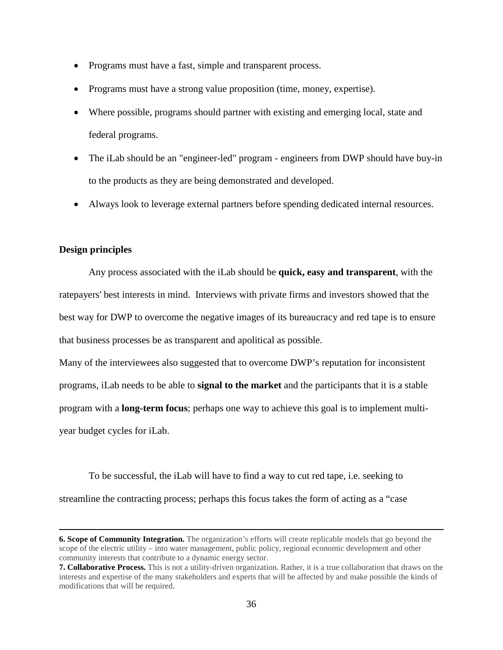- Programs must have a fast, simple and transparent process.
- Programs must have a strong value proposition (time, money, expertise).
- Where possible, programs should partner with existing and emerging local, state and federal programs.
- The iLab should be an "engineer-led" program engineers from DWP should have buy-in to the products as they are being demonstrated and developed.
- Always look to leverage external partners before spending dedicated internal resources.

## **Design principles**

 $\overline{a}$ 

Any process associated with the iLab should be **quick, easy and transparent**, with the ratepayers' best interests in mind. Interviews with private firms and investors showed that the best way for DWP to overcome the negative images of its bureaucracy and red tape is to ensure that business processes be as transparent and apolitical as possible.

Many of the interviewees also suggested that to overcome DWP's reputation for inconsistent programs, iLab needs to be able to **signal to the market** and the participants that it is a stable program with a **long-term focus**; perhaps one way to achieve this goal is to implement multiyear budget cycles for iLab.

To be successful, the iLab will have to find a way to cut red tape, i.e. seeking to streamline the contracting process; perhaps this focus takes the form of acting as a "case

**<sup>6.</sup> Scope of Community Integration.** The organization's efforts will create replicable models that go beyond the scope of the electric utility – into water management, public policy, regional economic development and other community interests that contribute to a dynamic energy sector.

**<sup>7.</sup> Collaborative Process.** This is not a utility-driven organization. Rather, it is a true collaboration that draws on the interests and expertise of the many stakeholders and experts that will be affected by and make possible the kinds of modifications that will be required.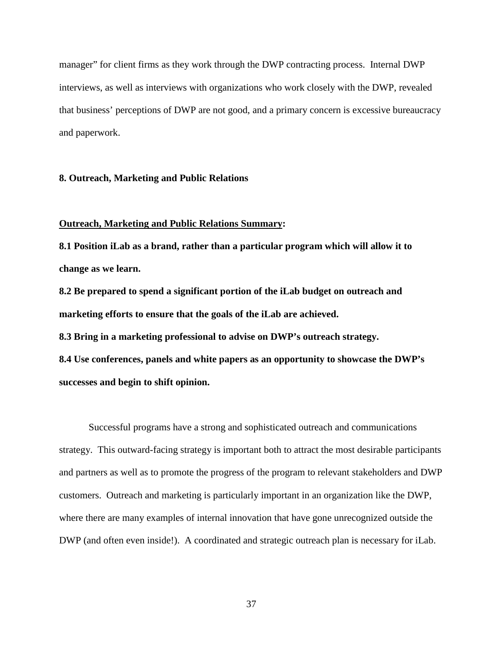manager" for client firms as they work through the DWP contracting process. Internal DWP interviews, as well as interviews with organizations who work closely with the DWP, revealed that business' perceptions of DWP are not good, and a primary concern is excessive bureaucracy and paperwork.

## **8. Outreach, Marketing and Public Relations**

## **Outreach, Marketing and Public Relations Summary:**

**8.1 Position iLab as a brand, rather than a particular program which will allow it to change as we learn.**

**8.2 Be prepared to spend a significant portion of the iLab budget on outreach and marketing efforts to ensure that the goals of the iLab are achieved.**

**8.3 Bring in a marketing professional to advise on DWP's outreach strategy.**

**8.4 Use conferences, panels and white papers as an opportunity to showcase the DWP's successes and begin to shift opinion.**

Successful programs have a strong and sophisticated outreach and communications strategy. This outward-facing strategy is important both to attract the most desirable participants and partners as well as to promote the progress of the program to relevant stakeholders and DWP customers. Outreach and marketing is particularly important in an organization like the DWP, where there are many examples of internal innovation that have gone unrecognized outside the DWP (and often even inside!). A coordinated and strategic outreach plan is necessary for iLab.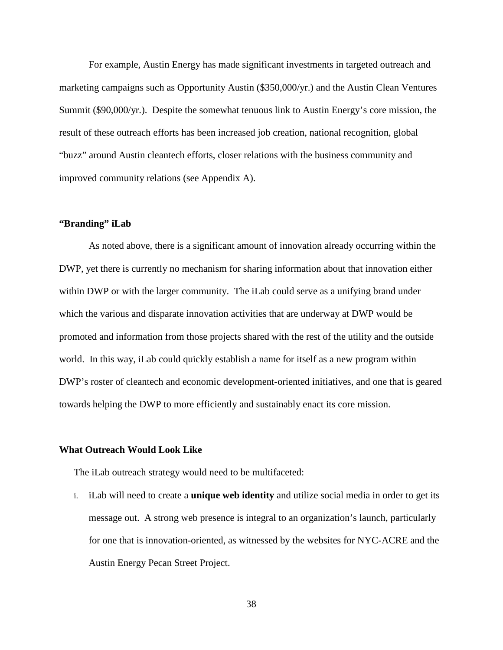For example, Austin Energy has made significant investments in targeted outreach and marketing campaigns such as Opportunity Austin (\$350,000/yr.) and the Austin Clean Ventures Summit (\$90,000/yr.). Despite the somewhat tenuous link to Austin Energy's core mission, the result of these outreach efforts has been increased job creation, national recognition, global "buzz" around Austin cleantech efforts, closer relations with the business community and improved community relations (see Appendix A).

## **"Branding" iLab**

As noted above, there is a significant amount of innovation already occurring within the DWP, yet there is currently no mechanism for sharing information about that innovation either within DWP or with the larger community. The iLab could serve as a unifying brand under which the various and disparate innovation activities that are underway at DWP would be promoted and information from those projects shared with the rest of the utility and the outside world. In this way, iLab could quickly establish a name for itself as a new program within DWP's roster of cleantech and economic development-oriented initiatives, and one that is geared towards helping the DWP to more efficiently and sustainably enact its core mission.

## **What Outreach Would Look Like**

The iLab outreach strategy would need to be multifaceted:

i. iLab will need to create a **unique web identity** and utilize social media in order to get its message out. A strong web presence is integral to an organization's launch, particularly for one that is innovation-oriented, as witnessed by the websites for NYC-ACRE and the Austin Energy Pecan Street Project.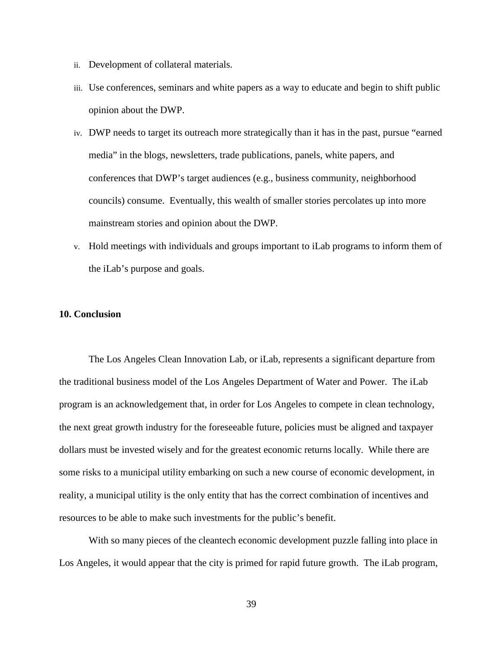- ii. Development of collateral materials.
- iii. Use conferences, seminars and white papers as a way to educate and begin to shift public opinion about the DWP.
- iv. DWP needs to target its outreach more strategically than it has in the past, pursue "earned media" in the blogs, newsletters, trade publications, panels, white papers, and conferences that DWP's target audiences (e.g., business community, neighborhood councils) consume. Eventually, this wealth of smaller stories percolates up into more mainstream stories and opinion about the DWP.
- v. Hold meetings with individuals and groups important to iLab programs to inform them of the iLab's purpose and goals.

## **10. Conclusion**

The Los Angeles Clean Innovation Lab, or iLab, represents a significant departure from the traditional business model of the Los Angeles Department of Water and Power. The iLab program is an acknowledgement that, in order for Los Angeles to compete in clean technology, the next great growth industry for the foreseeable future, policies must be aligned and taxpayer dollars must be invested wisely and for the greatest economic returns locally. While there are some risks to a municipal utility embarking on such a new course of economic development, in reality, a municipal utility is the only entity that has the correct combination of incentives and resources to be able to make such investments for the public's benefit.

With so many pieces of the cleantech economic development puzzle falling into place in Los Angeles, it would appear that the city is primed for rapid future growth. The iLab program,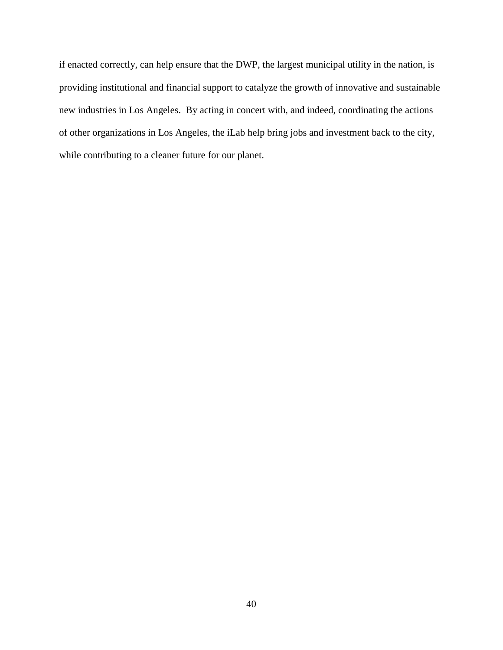if enacted correctly, can help ensure that the DWP, the largest municipal utility in the nation, is providing institutional and financial support to catalyze the growth of innovative and sustainable new industries in Los Angeles. By acting in concert with, and indeed, coordinating the actions of other organizations in Los Angeles, the iLab help bring jobs and investment back to the city, while contributing to a cleaner future for our planet.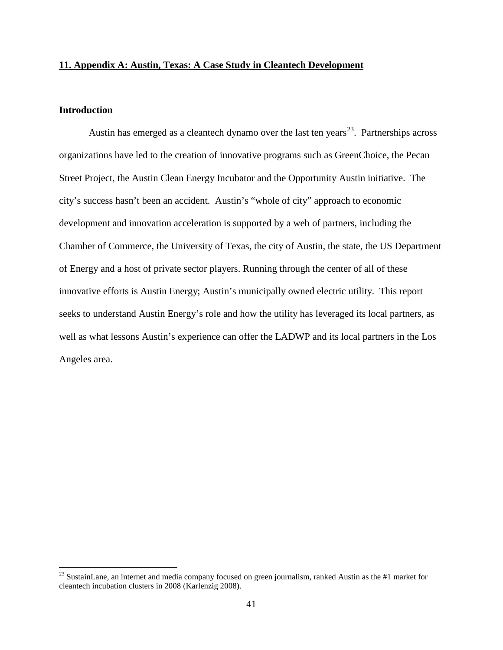## **11. Appendix A: Austin, Texas: A Case Study in Cleantech Development**

# **Introduction**

Austin has emerged as a cleantech dynamo over the last ten years<sup>23</sup>. Partnerships across organizations have led to the creation of innovative programs such as GreenChoice, the Pecan Street Project, the Austin Clean Energy Incubator and the Opportunity Austin initiative. The city's success hasn't been an accident. Austin's "whole of city" approach to economic development and innovation acceleration is supported by a web of partners, including the Chamber of Commerce, the University of Texas, the city of Austin, the state, the US Department of Energy and a host of private sector players. Running through the center of all of these innovative efforts is Austin Energy; Austin's municipally owned electric utility. This report seeks to understand Austin Energy's role and how the utility has leveraged its local partners, as well as what lessons Austin's experience can offer the LADWP and its local partners in the Los Angeles area.

<span id="page-40-0"></span><sup>&</sup>lt;sup>23</sup> SustainLane, an internet and media company focused on green journalism, ranked Austin as the #1 market for cleantech incubation clusters in 2008 (Karlenzig 2008).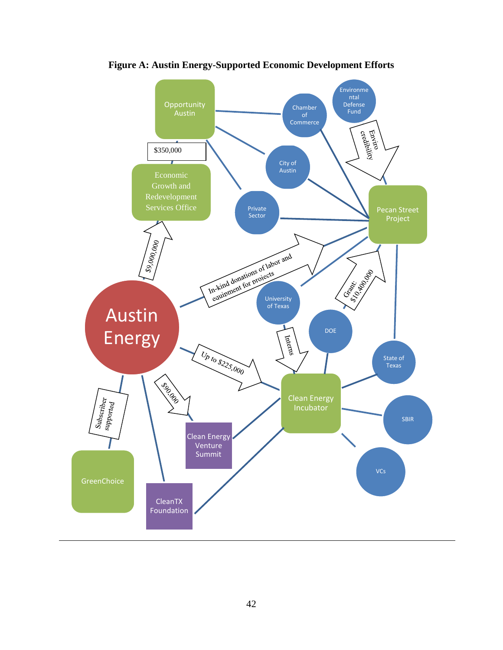

**Figure A: Austin Energy-Supported Economic Development Efforts**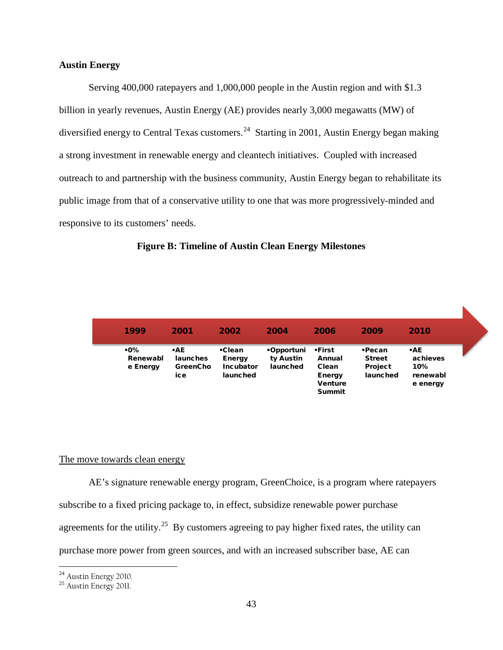## **Austin Energy**

Serving 400,000 ratepayers and 1,000,000 people in the Austin region and with \$1.3 billion in yearly revenues, Austin Energy (AE) provides nearly 3,000 megawatts (MW) of diversified energy to Central Texas customers.<sup>24</sup> Starting in 2001, Austin Energy began making a strong investment in renewable energy and cleantech initiatives. Coupled with increased outreach to and partnership with the business community, Austin Energy began to rehabilitate its public image from that of a conservative utility to one that was more progressively-minded and responsive to its customers' needs.



| 1999                        | 2001                                             | 2002                                                    | 2004                                | 2006                                                                          | 2009                                                         | 2010                                                  |  |
|-----------------------------|--------------------------------------------------|---------------------------------------------------------|-------------------------------------|-------------------------------------------------------------------------------|--------------------------------------------------------------|-------------------------------------------------------|--|
| .0%<br>Renewabl<br>e Energy | $\cdot$ AE<br>launches<br><b>GreenCho</b><br>ice | $\cdot$ Clean<br>Energy<br><b>Incubator</b><br>launched | •Opportuni<br>ty Austin<br>launched | ∙First<br>Annual<br>Clean<br><b>Energy</b><br><b>Venture</b><br><b>Summit</b> | $\cdot$ Pecan<br><b>Street</b><br><b>Project</b><br>launched | $\cdot$ AE<br>achieves<br>10%<br>renewabl<br>e energy |  |

## The move towards clean energy

AE's signature renewable energy program, GreenChoice, is a program where ratepayers subscribe to a fixed pricing package to, in effect, subsidize renewable power purchase agreements for the utility.<sup>25</sup> By customers agreeing to pay higher fixed rates, the utility can purchase more power from green sources, and with an increased subscriber base, AE can

 $24$  Austin Energy 2010.

<span id="page-42-1"></span><span id="page-42-0"></span><sup>&</sup>lt;sup>25</sup> Austin Energy 2011.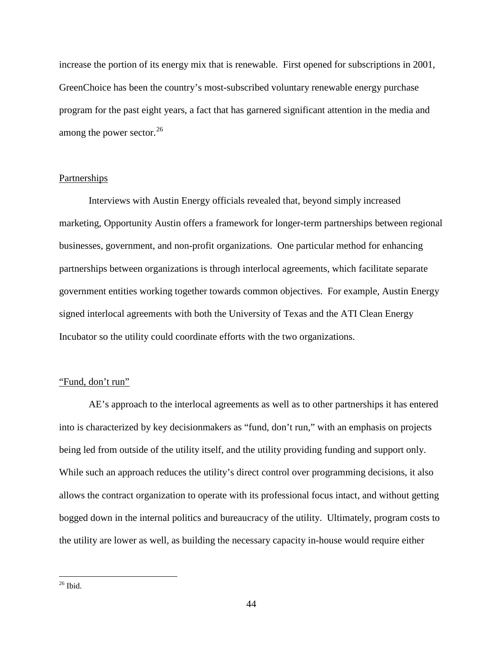increase the portion of its energy mix that is renewable. First opened for subscriptions in 2001, GreenChoice has been the country's most-subscribed voluntary renewable energy purchase program for the past eight years, a fact that has garnered significant attention in the media and among the power sector.<sup>26</sup>

# Partnerships

Interviews with Austin Energy officials revealed that, beyond simply increased marketing, Opportunity Austin offers a framework for longer-term partnerships between regional businesses, government, and non-profit organizations. One particular method for enhancing partnerships between organizations is through interlocal agreements, which facilitate separate government entities working together towards common objectives. For example, Austin Energy signed interlocal agreements with both the University of Texas and the ATI Clean Energy Incubator so the utility could coordinate efforts with the two organizations.

## "Fund, don't run"

AE's approach to the interlocal agreements as well as to other partnerships it has entered into is characterized by key decisionmakers as "fund, don't run," with an emphasis on projects being led from outside of the utility itself, and the utility providing funding and support only. While such an approach reduces the utility's direct control over programming decisions, it also allows the contract organization to operate with its professional focus intact, and without getting bogged down in the internal politics and bureaucracy of the utility. Ultimately, program costs to the utility are lower as well, as building the necessary capacity in-house would require either

<span id="page-43-0"></span> $26$  Ibid.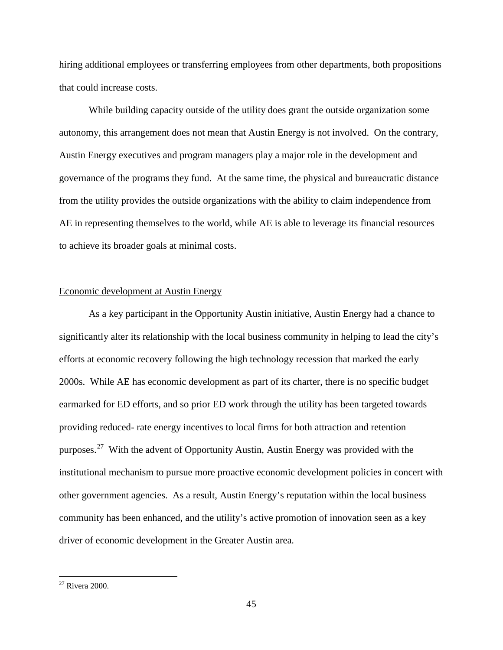hiring additional employees or transferring employees from other departments, both propositions that could increase costs.

While building capacity outside of the utility does grant the outside organization some autonomy, this arrangement does not mean that Austin Energy is not involved. On the contrary, Austin Energy executives and program managers play a major role in the development and governance of the programs they fund. At the same time, the physical and bureaucratic distance from the utility provides the outside organizations with the ability to claim independence from AE in representing themselves to the world, while AE is able to leverage its financial resources to achieve its broader goals at minimal costs.

## Economic development at Austin Energy

As a key participant in the Opportunity Austin initiative, Austin Energy had a chance to significantly alter its relationship with the local business community in helping to lead the city's efforts at economic recovery following the high technology recession that marked the early 2000s. While AE has economic development as part of its charter, there is no specific budget earmarked for ED efforts, and so prior ED work through the utility has been targeted towards providing reduced- rate energy incentives to local firms for both attraction and retention purposes.<sup>[27](#page-43-0)</sup> With the advent of Opportunity Austin, Austin Energy was provided with the institutional mechanism to pursue more proactive economic development policies in concert with other government agencies. As a result, Austin Energy's reputation within the local business community has been enhanced, and the utility's active promotion of innovation seen as a key driver of economic development in the Greater Austin area.

<span id="page-44-0"></span> $27$  Rivera 2000.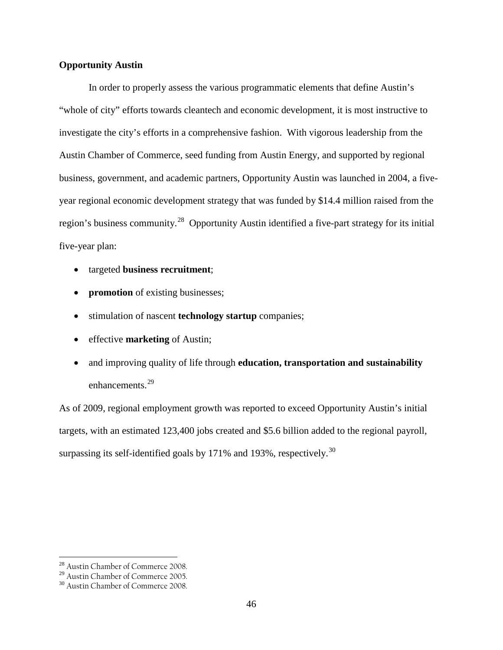# **Opportunity Austin**

In order to properly assess the various programmatic elements that define Austin's "whole of city" efforts towards cleantech and economic development, it is most instructive to investigate the city's efforts in a comprehensive fashion. With vigorous leadership from the Austin Chamber of Commerce, seed funding from Austin Energy, and supported by regional business, government, and academic partners, Opportunity Austin was launched in 2004, a fiveyear regional economic development strategy that was funded by \$14.4 million raised from the region's business community.[28](#page-44-0) Opportunity Austin identified a five-part strategy for its initial five-year plan:

- targeted **business recruitment**;
- **promotion** of existing businesses;
- stimulation of nascent **technology startup** companies;
- effective **marketing** of Austin;
- and improving quality of life through **education, transportation and sustainability** enhancements.<sup>29</sup>

As of 2009, regional employment growth was reported to exceed Opportunity Austin's initial targets, with an estimated 123,400 jobs created and \$5.6 billion added to the regional payroll, surpassing its self-identified goals by  $171\%$  and  $193\%$ , respectively.<sup>[30](#page-45-1)</sup>

 <sup>28</sup> Austin Chamber of Commerce 2008.

<span id="page-45-0"></span><sup>29</sup> Austin Chamber of Commerce 2005.

<span id="page-45-2"></span><span id="page-45-1"></span><sup>30</sup> Austin Chamber of Commerce 2008.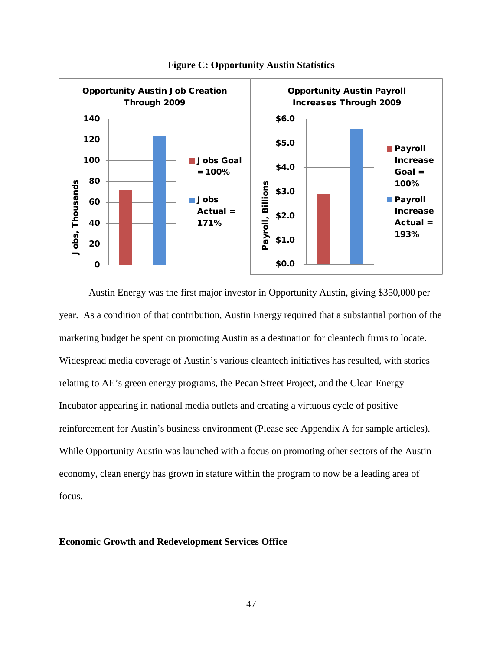

**Figure C: Opportunity Austin Statistics**

Austin Energy was the first major investor in Opportunity Austin, giving \$350,000 per year. As a condition of that contribution, Austin Energy required that a substantial portion of the marketing budget be spent on promoting Austin as a destination for cleantech firms to locate. Widespread media coverage of Austin's various cleantech initiatives has resulted, with stories relating to AE's green energy programs, the Pecan Street Project, and the Clean Energy Incubator appearing in national media outlets and creating a virtuous cycle of positive reinforcement for Austin's business environment (Please see Appendix A for sample articles). While Opportunity Austin was launched with a focus on promoting other sectors of the Austin economy, clean energy has grown in stature within the program to now be a leading area of focus.

## **Economic Growth and Redevelopment Services Office**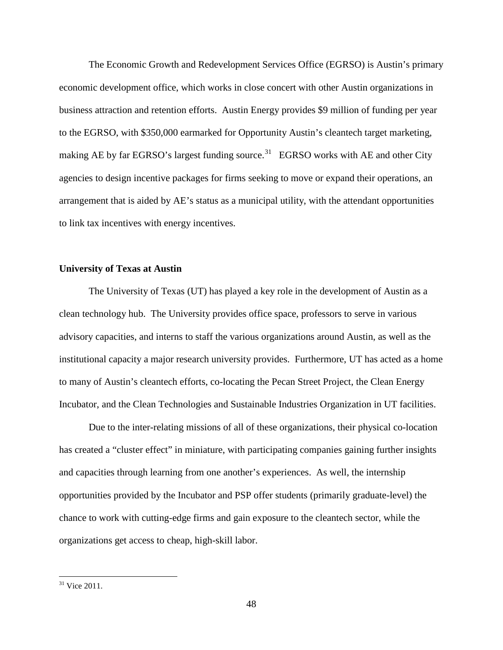The Economic Growth and Redevelopment Services Office (EGRSO) is Austin's primary economic development office, which works in close concert with other Austin organizations in business attraction and retention efforts. Austin Energy provides \$9 million of funding per year to the EGRSO, with \$350,000 earmarked for Opportunity Austin's cleantech target marketing, making AE by far EGRSO's largest funding source.<sup>[31](#page-45-2)</sup> EGRSO works with AE and other City agencies to design incentive packages for firms seeking to move or expand their operations, an arrangement that is aided by AE's status as a municipal utility, with the attendant opportunities to link tax incentives with energy incentives.

## **University of Texas at Austin**

The University of Texas (UT) has played a key role in the development of Austin as a clean technology hub. The University provides office space, professors to serve in various advisory capacities, and interns to staff the various organizations around Austin, as well as the institutional capacity a major research university provides. Furthermore, UT has acted as a home to many of Austin's cleantech efforts, co-locating the Pecan Street Project, the Clean Energy Incubator, and the Clean Technologies and Sustainable Industries Organization in UT facilities.

Due to the inter-relating missions of all of these organizations, their physical co-location has created a "cluster effect" in miniature, with participating companies gaining further insights and capacities through learning from one another's experiences. As well, the internship opportunities provided by the Incubator and PSP offer students (primarily graduate-level) the chance to work with cutting-edge firms and gain exposure to the cleantech sector, while the organizations get access to cheap, high-skill labor.

<span id="page-47-0"></span><sup>&</sup>lt;sup>31</sup> Vice 2011.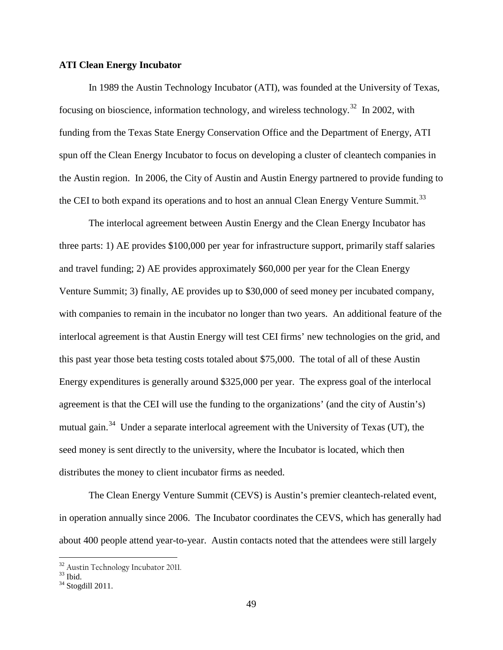## **ATI Clean Energy Incubator**

In 1989 the Austin Technology Incubator (ATI), was founded at the University of Texas, focusing on bioscience, information technology, and wireless technology.<sup>32</sup> In 2002, with funding from the Texas State Energy Conservation Office and the Department of Energy, ATI spun off the Clean Energy Incubator to focus on developing a cluster of cleantech companies in the Austin region. In 2006, the City of Austin and Austin Energy partnered to provide funding to the CEI to both expand its operations and to host an annual Clean Energy Venture Summit.<sup>[33](#page-48-0)</sup>

The interlocal agreement between Austin Energy and the Clean Energy Incubator has three parts: 1) AE provides \$100,000 per year for infrastructure support, primarily staff salaries and travel funding; 2) AE provides approximately \$60,000 per year for the Clean Energy Venture Summit; 3) finally, AE provides up to \$30,000 of seed money per incubated company, with companies to remain in the incubator no longer than two years. An additional feature of the interlocal agreement is that Austin Energy will test CEI firms' new technologies on the grid, and this past year those beta testing costs totaled about \$75,000. The total of all of these Austin Energy expenditures is generally around \$325,000 per year. The express goal of the interlocal agreement is that the CEI will use the funding to the organizations' (and the city of Austin's) mutual gain.<sup>34</sup> Under a separate interlocal agreement with the University of Texas (UT), the seed money is sent directly to the university, where the Incubator is located, which then distributes the money to client incubator firms as needed.

The Clean Energy Venture Summit (CEVS) is Austin's premier cleantech-related event, in operation annually since 2006. The Incubator coordinates the CEVS, which has generally had about 400 people attend year-to-year. Austin contacts noted that the attendees were still largely

<span id="page-48-2"></span> $\frac{32}{33}$  Austin Technology Incubator 2011.<br> $\frac{33}{34}$  Stogdill 2011.

<span id="page-48-0"></span>

<span id="page-48-1"></span>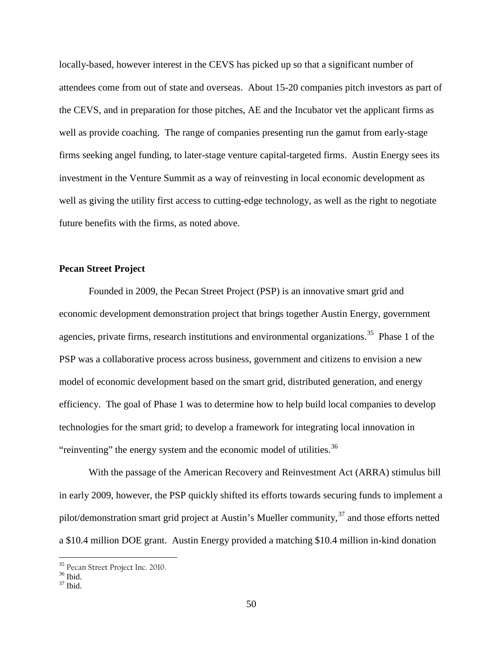locally-based, however interest in the CEVS has picked up so that a significant number of attendees come from out of state and overseas. About 15-20 companies pitch investors as part of the CEVS, and in preparation for those pitches, AE and the Incubator vet the applicant firms as well as provide coaching. The range of companies presenting run the gamut from early-stage firms seeking angel funding, to later-stage venture capital-targeted firms. Austin Energy sees its investment in the Venture Summit as a way of reinvesting in local economic development as well as giving the utility first access to cutting-edge technology, as well as the right to negotiate future benefits with the firms, as noted above.

# **Pecan Street Project**

Founded in 2009, the Pecan Street Project (PSP) is an innovative smart grid and economic development demonstration project that brings together Austin Energy, government agencies, private firms, research institutions and environmental organizations.<sup>[35](#page-48-2)</sup> Phase 1 of the PSP was a collaborative process across business, government and citizens to envision a new model of economic development based on the smart grid, distributed generation, and energy efficiency. The goal of Phase 1 was to determine how to help build local companies to develop technologies for the smart grid; to develop a framework for integrating local innovation in "reinventing" the energy system and the economic model of utilities. $36$ 

With the passage of the American Recovery and Reinvestment Act (ARRA) stimulus bill in early 2009, however, the PSP quickly shifted its efforts towards securing funds to implement a pilot/demonstration smart grid project at Austin's Mueller community,  $37$  and those efforts netted a \$10.4 million DOE grant. Austin Energy provided a matching \$10.4 million in-kind donation

<span id="page-49-2"></span><sup>&</sup>lt;sup>35</sup> Pecan Street Project Inc. 2010.<br><sup>36</sup> Ibid. <sup>37</sup> Ibid.

<span id="page-49-1"></span><span id="page-49-0"></span>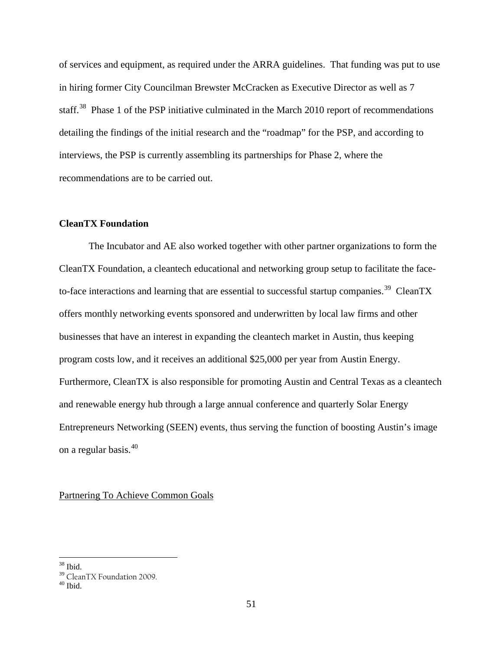of services and equipment, as required under the ARRA guidelines. That funding was put to use in hiring former City Councilman Brewster McCracken as Executive Director as well as 7 staff.<sup>[38](#page-49-2)</sup> Phase 1 of the PSP initiative culminated in the March 2010 report of recommendations detailing the findings of the initial research and the "roadmap" for the PSP, and according to interviews, the PSP is currently assembling its partnerships for Phase 2, where the recommendations are to be carried out.

## **CleanTX Foundation**

The Incubator and AE also worked together with other partner organizations to form the CleanTX Foundation, a cleantech educational and networking group setup to facilitate the face-to-face interactions and learning that are essential to successful startup companies.<sup>[39](#page-50-0)</sup> CleanTX offers monthly networking events sponsored and underwritten by local law firms and other businesses that have an interest in expanding the cleantech market in Austin, thus keeping program costs low, and it receives an additional \$25,000 per year from Austin Energy. Furthermore, CleanTX is also responsible for promoting Austin and Central Texas as a cleantech and renewable energy hub through a large annual conference and quarterly Solar Energy Entrepreneurs Networking (SEEN) events, thus serving the function of boosting Austin's image on a regular basis.[40](#page-50-1)

Partnering To Achieve Common Goals

 $38$  Ibid.

<span id="page-50-0"></span> $39$  CleanTX Foundation 2009.<br> $40$  Ibid.

<span id="page-50-1"></span>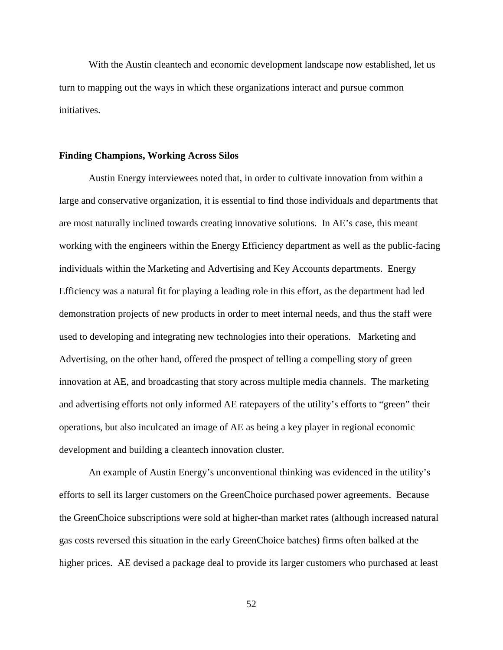With the Austin cleantech and economic development landscape now established, let us turn to mapping out the ways in which these organizations interact and pursue common initiatives.

## **Finding Champions, Working Across Silos**

Austin Energy interviewees noted that, in order to cultivate innovation from within a large and conservative organization, it is essential to find those individuals and departments that are most naturally inclined towards creating innovative solutions. In AE's case, this meant working with the engineers within the Energy Efficiency department as well as the public-facing individuals within the Marketing and Advertising and Key Accounts departments. Energy Efficiency was a natural fit for playing a leading role in this effort, as the department had led demonstration projects of new products in order to meet internal needs, and thus the staff were used to developing and integrating new technologies into their operations. Marketing and Advertising, on the other hand, offered the prospect of telling a compelling story of green innovation at AE, and broadcasting that story across multiple media channels. The marketing and advertising efforts not only informed AE ratepayers of the utility's efforts to "green" their operations, but also inculcated an image of AE as being a key player in regional economic development and building a cleantech innovation cluster.

An example of Austin Energy's unconventional thinking was evidenced in the utility's efforts to sell its larger customers on the GreenChoice purchased power agreements. Because the GreenChoice subscriptions were sold at higher-than market rates (although increased natural gas costs reversed this situation in the early GreenChoice batches) firms often balked at the higher prices. AE devised a package deal to provide its larger customers who purchased at least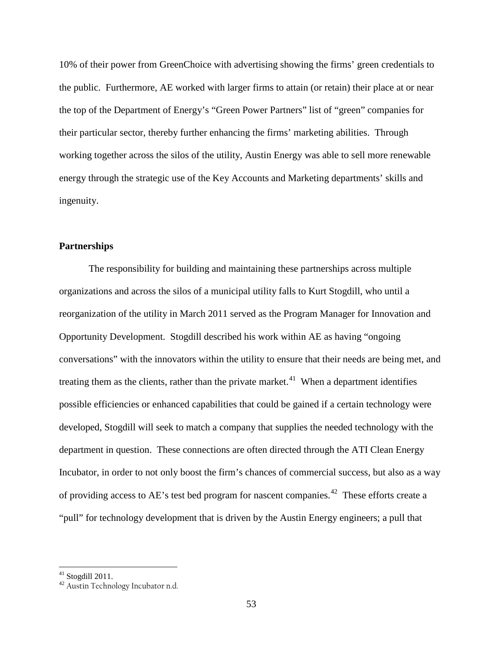10% of their power from GreenChoice with advertising showing the firms' green credentials to the public. Furthermore, AE worked with larger firms to attain (or retain) their place at or near the top of the Department of Energy's "Green Power Partners" list of "green" companies for their particular sector, thereby further enhancing the firms' marketing abilities. Through working together across the silos of the utility, Austin Energy was able to sell more renewable energy through the strategic use of the Key Accounts and Marketing departments' skills and ingenuity.

# **Partnerships**

The responsibility for building and maintaining these partnerships across multiple organizations and across the silos of a municipal utility falls to Kurt Stogdill, who until a reorganization of the utility in March 2011 served as the Program Manager for Innovation and Opportunity Development. Stogdill described his work within AE as having "ongoing conversations" with the innovators within the utility to ensure that their needs are being met, and treating them as the clients, rather than the private market.<sup>[41](#page-50-0)</sup> When a department identifies possible efficiencies or enhanced capabilities that could be gained if a certain technology were developed, Stogdill will seek to match a company that supplies the needed technology with the department in question. These connections are often directed through the ATI Clean Energy Incubator, in order to not only boost the firm's chances of commercial success, but also as a way of providing access to AE's test bed program for nascent companies.<sup>[42](#page-52-0)</sup> These efforts create a "pull" for technology development that is driven by the Austin Energy engineers; a pull that

 $41$  Stogdill 2011.

<span id="page-52-0"></span><sup>42</sup> Austin Technology Incubator n.d.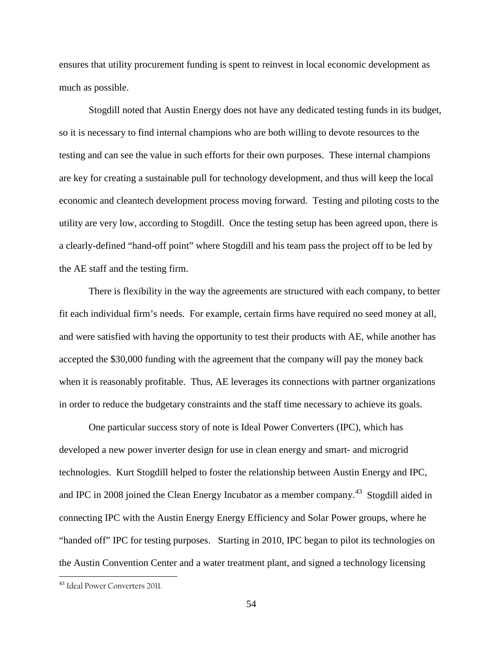ensures that utility procurement funding is spent to reinvest in local economic development as much as possible.

Stogdill noted that Austin Energy does not have any dedicated testing funds in its budget, so it is necessary to find internal champions who are both willing to devote resources to the testing and can see the value in such efforts for their own purposes. These internal champions are key for creating a sustainable pull for technology development, and thus will keep the local economic and cleantech development process moving forward. Testing and piloting costs to the utility are very low, according to Stogdill. Once the testing setup has been agreed upon, there is a clearly-defined "hand-off point" where Stogdill and his team pass the project off to be led by the AE staff and the testing firm.

There is flexibility in the way the agreements are structured with each company, to better fit each individual firm's needs. For example, certain firms have required no seed money at all, and were satisfied with having the opportunity to test their products with AE, while another has accepted the \$30,000 funding with the agreement that the company will pay the money back when it is reasonably profitable. Thus, AE leverages its connections with partner organizations in order to reduce the budgetary constraints and the staff time necessary to achieve its goals.

One particular success story of note is Ideal Power Converters (IPC), which has developed a new power inverter design for use in clean energy and smart- and microgrid technologies. Kurt Stogdill helped to foster the relationship between Austin Energy and IPC, and IPC in 2008 joined the Clean Energy Incubator as a member company.<sup>43</sup> Stogdill aided in connecting IPC with the Austin Energy Energy Efficiency and Solar Power groups, where he "handed off" IPC for testing purposes. Starting in 2010, IPC began to pilot its technologies on the Austin Convention Center and a water treatment plant, and signed a technology licensing

<span id="page-53-0"></span> <sup>43</sup> Ideal Power Converters 2011.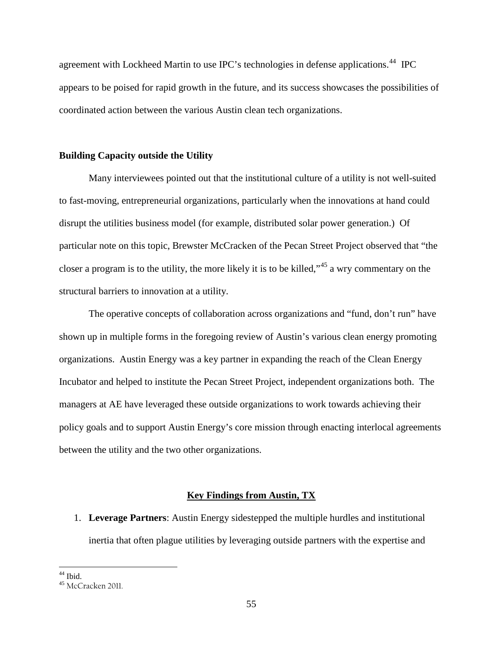agreement with Lockheed Martin to use IPC's technologies in defense applications.<sup>[44](#page-53-0)</sup> IPC appears to be poised for rapid growth in the future, and its success showcases the possibilities of coordinated action between the various Austin clean tech organizations.

## **Building Capacity outside the Utility**

Many interviewees pointed out that the institutional culture of a utility is not well-suited to fast-moving, entrepreneurial organizations, particularly when the innovations at hand could disrupt the utilities business model (for example, distributed solar power generation.) Of particular note on this topic, Brewster McCracken of the Pecan Street Project observed that "the closer a program is to the utility, the more likely it is to be killed,<sup> $345$  $345$ </sup> a wry commentary on the structural barriers to innovation at a utility.

The operative concepts of collaboration across organizations and "fund, don't run" have shown up in multiple forms in the foregoing review of Austin's various clean energy promoting organizations. Austin Energy was a key partner in expanding the reach of the Clean Energy Incubator and helped to institute the Pecan Street Project, independent organizations both. The managers at AE have leveraged these outside organizations to work towards achieving their policy goals and to support Austin Energy's core mission through enacting interlocal agreements between the utility and the two other organizations.

## **Key Findings from Austin, TX**

1. **Leverage Partners**: Austin Energy sidestepped the multiple hurdles and institutional inertia that often plague utilities by leveraging outside partners with the expertise and

 $44$  Ibid.

<span id="page-54-0"></span><sup>45</sup> McCracken 2011.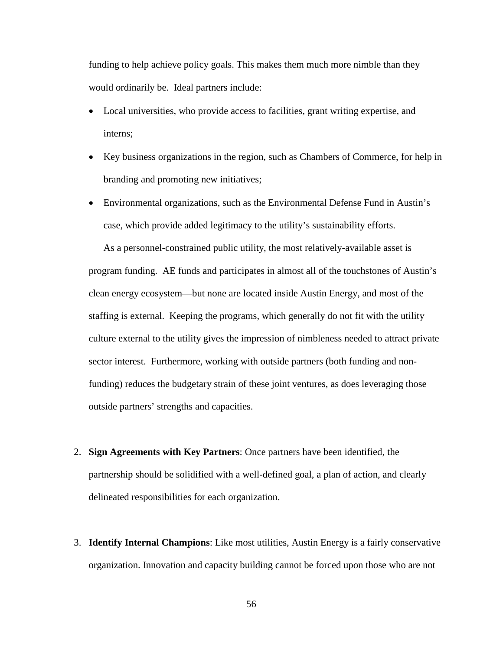funding to help achieve policy goals. This makes them much more nimble than they would ordinarily be. Ideal partners include:

- Local universities, who provide access to facilities, grant writing expertise, and interns;
- Key business organizations in the region, such as Chambers of Commerce, for help in branding and promoting new initiatives;
- Environmental organizations, such as the Environmental Defense Fund in Austin's case, which provide added legitimacy to the utility's sustainability efforts.

As a personnel-constrained public utility, the most relatively-available asset is program funding. AE funds and participates in almost all of the touchstones of Austin's clean energy ecosystem—but none are located inside Austin Energy, and most of the staffing is external. Keeping the programs, which generally do not fit with the utility culture external to the utility gives the impression of nimbleness needed to attract private sector interest. Furthermore, working with outside partners (both funding and nonfunding) reduces the budgetary strain of these joint ventures, as does leveraging those outside partners' strengths and capacities.

- 2. **Sign Agreements with Key Partners**: Once partners have been identified, the partnership should be solidified with a well-defined goal, a plan of action, and clearly delineated responsibilities for each organization.
- 3. **Identify Internal Champions**: Like most utilities, Austin Energy is a fairly conservative organization. Innovation and capacity building cannot be forced upon those who are not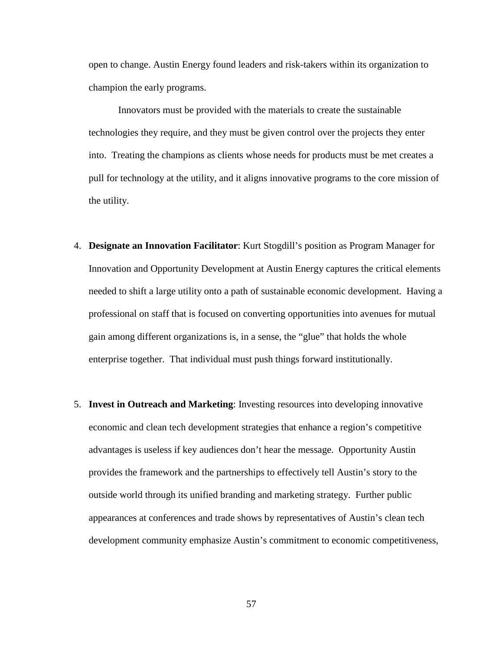open to change. Austin Energy found leaders and risk-takers within its organization to champion the early programs.

Innovators must be provided with the materials to create the sustainable technologies they require, and they must be given control over the projects they enter into. Treating the champions as clients whose needs for products must be met creates a pull for technology at the utility, and it aligns innovative programs to the core mission of the utility.

- 4. **Designate an Innovation Facilitator**: Kurt Stogdill's position as Program Manager for Innovation and Opportunity Development at Austin Energy captures the critical elements needed to shift a large utility onto a path of sustainable economic development. Having a professional on staff that is focused on converting opportunities into avenues for mutual gain among different organizations is, in a sense, the "glue" that holds the whole enterprise together. That individual must push things forward institutionally.
- 5. **Invest in Outreach and Marketing**: Investing resources into developing innovative economic and clean tech development strategies that enhance a region's competitive advantages is useless if key audiences don't hear the message. Opportunity Austin provides the framework and the partnerships to effectively tell Austin's story to the outside world through its unified branding and marketing strategy. Further public appearances at conferences and trade shows by representatives of Austin's clean tech development community emphasize Austin's commitment to economic competitiveness,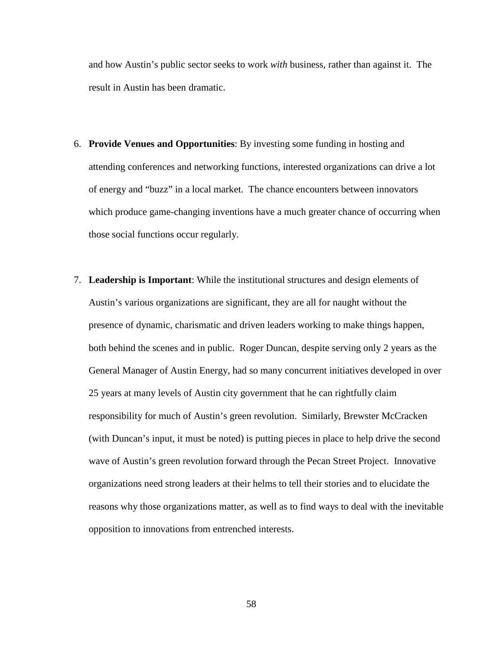and how Austin's public sector seeks to work *with* business, rather than against it. The result in Austin has been dramatic.

- 6. **Provide Venues and Opportunities**: By investing some funding in hosting and attending conferences and networking functions, interested organizations can drive a lot of energy and "buzz" in a local market. The chance encounters between innovators which produce game-changing inventions have a much greater chance of occurring when those social functions occur regularly.
- 7. **Leadership is Important**: While the institutional structures and design elements of Austin's various organizations are significant, they are all for naught without the presence of dynamic, charismatic and driven leaders working to make things happen, both behind the scenes and in public. Roger Duncan, despite serving only 2 years as the General Manager of Austin Energy, had so many concurrent initiatives developed in over 25 years at many levels of Austin city government that he can rightfully claim responsibility for much of Austin's green revolution. Similarly, Brewster McCracken (with Duncan's input, it must be noted) is putting pieces in place to help drive the second wave of Austin's green revolution forward through the Pecan Street Project. Innovative organizations need strong leaders at their helms to tell their stories and to elucidate the reasons why those organizations matter, as well as to find ways to deal with the inevitable opposition to innovations from entrenched interests.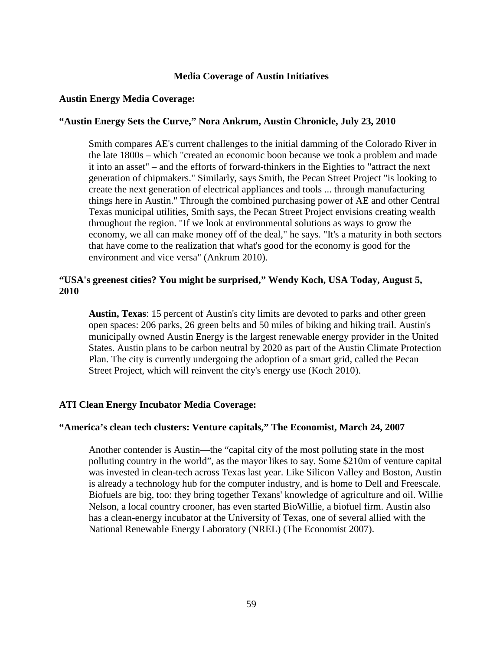# **Media Coverage of Austin Initiatives**

## **Austin Energy Media Coverage:**

# **"Austin Energy Sets the Curve," Nora Ankrum, Austin Chronicle, July 23, 2010**

Smith compares AE's current challenges to the initial damming of the Colorado River in the late 1800s – which "created an economic boon because we took a problem and made it into an asset" – and the efforts of forward-thinkers in the Eighties to "attract the next generation of chipmakers." Similarly, says Smith, the Pecan Street Project "is looking to create the next generation of electrical appliances and tools ... through manufacturing things here in Austin." Through the combined purchasing power of AE and other Central Texas municipal utilities, Smith says, the Pecan Street Project envisions creating wealth throughout the region. "If we look at environmental solutions as ways to grow the economy, we all can make money off of the deal," he says. "It's a maturity in both sectors that have come to the realization that what's good for the economy is good for the environment and vice versa" (Ankrum 2010).

# **"USA's greenest cities? You might be surprised," Wendy Koch, USA Today, August 5, 2010**

**Austin, Texas**: 15 percent of Austin's city limits are devoted to parks and other green open spaces: 206 parks, 26 green belts and 50 miles of biking and hiking trail. Austin's municipally owned Austin Energy is the largest renewable energy provider in the United States. Austin plans to be carbon neutral by 2020 as part of the Austin Climate Protection Plan. The city is currently undergoing the adoption of a smart grid, called the Pecan Street Project, which will reinvent the city's energy use (Koch 2010).

## **ATI Clean Energy Incubator Media Coverage:**

## **"America's clean tech clusters: Venture capitals," The Economist, March 24, 2007**

Another contender is Austin—the "capital city of the most polluting state in the most polluting country in the world", as the mayor likes to say. Some \$210m of venture capital was invested in clean-tech across Texas last year. Like Silicon Valley and Boston, Austin is already a technology hub for the computer industry, and is home to Dell and Freescale. Biofuels are big, too: they bring together Texans' knowledge of agriculture and oil. Willie Nelson, a local country crooner, has even started BioWillie, a biofuel firm. Austin also has a clean-energy incubator at the University of Texas, one of several allied with the National Renewable Energy Laboratory (NREL) (The Economist 2007).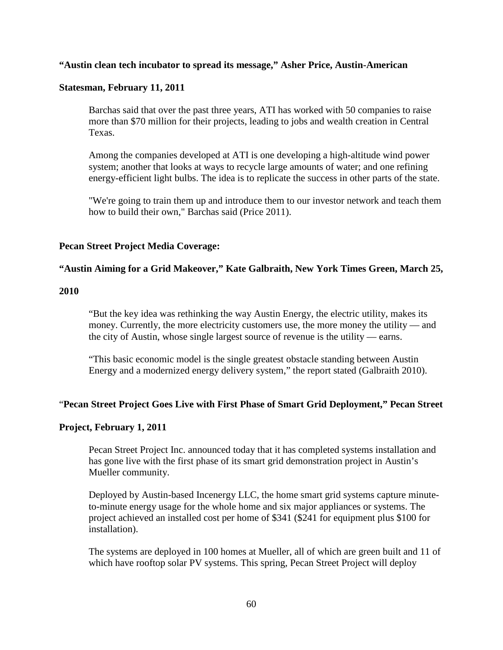# **"Austin clean tech incubator to spread its message," Asher Price, Austin-American**

# **Statesman, February 11, 2011**

Barchas said that over the past three years, ATI has worked with 50 companies to raise more than \$70 million for their projects, leading to jobs and wealth creation in Central Texas.

Among the companies developed at ATI is one developing a high-altitude wind power system; another that looks at ways to recycle large amounts of water; and one refining energy-efficient light bulbs. The idea is to replicate the success in other parts of the state.

"We're going to train them up and introduce them to our investor network and teach them how to build their own," Barchas said (Price 2011).

# **Pecan Street Project Media Coverage:**

# **"Austin Aiming for a Grid Makeover," Kate Galbraith, New York Times Green, March 25,**

## **2010**

"But the key idea was rethinking the way Austin Energy, the electric utility, makes its money. Currently, the more electricity customers use, the more money the utility — and the city of Austin, whose single largest source of revenue is the utility — earns.

"This basic economic model is the single greatest obstacle standing between Austin Energy and a modernized energy delivery system," the report stated (Galbraith 2010).

## "**Pecan Street Project Goes Live with First Phase of Smart Grid Deployment," Pecan Street**

## **Project, February 1, 2011**

Pecan Street Project Inc. announced today that it has completed systems installation and has gone live with the first phase of its smart grid demonstration project in Austin's Mueller community.

Deployed by Austin-based Incenergy LLC, the home smart grid systems capture minuteto-minute energy usage for the whole home and six major appliances or systems. The project achieved an installed cost per home of \$341 (\$241 for equipment plus \$100 for installation).

The systems are deployed in 100 homes at Mueller, all of which are green built and 11 of which have rooftop solar PV systems. This spring, Pecan Street Project will deploy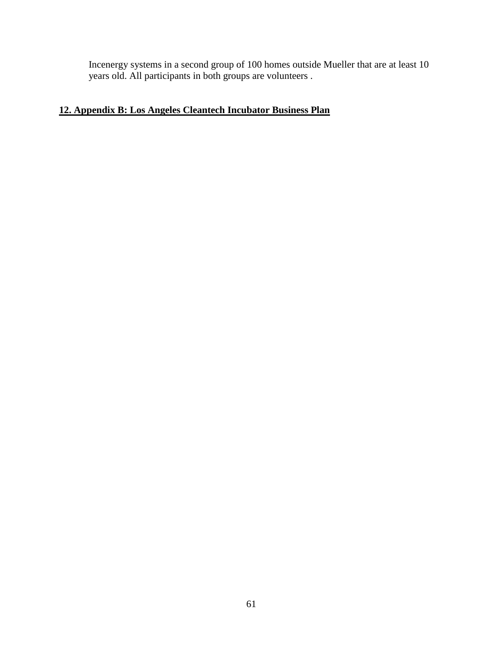Incenergy systems in a second group of 100 homes outside Mueller that are at least 10 years old. All participants in both groups are volunteers .

# **12. Appendix B: Los Angeles Cleantech Incubator Business Plan**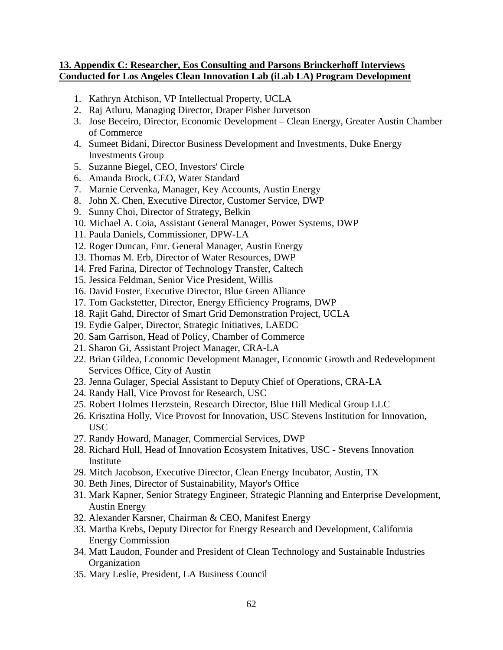# **13. Appendix C: Researcher, Eos Consulting and Parsons Brinckerhoff Interviews Conducted for Los Angeles Clean Innovation Lab (iLab LA) Program Development**

- 1. Kathryn Atchison, VP Intellectual Property, UCLA
- 2. Raj Atluru, Managing Director, Draper Fisher Jurvetson
- 3. Jose Beceiro, Director, Economic Development Clean Energy, Greater Austin Chamber of Commerce
- 4. Sumeet Bidani, Director Business Development and Investments, Duke Energy Investments Group
- 5. Suzanne Biegel, CEO, Investors' Circle
- 6. Amanda Brock, CEO, Water Standard
- 7. Marnie Cervenka, Manager, Key Accounts, Austin Energy
- 8. John X. Chen, Executive Director, Customer Service, DWP
- 9. Sunny Choi, Director of Strategy, Belkin
- 10. Michael A. Coia, Assistant General Manager, Power Systems, DWP
- 11. Paula Daniels, Commissioner, DPW-LA
- 12. Roger Duncan, Fmr. General Manager, Austin Energy
- 13. Thomas M. Erb, Director of Water Resources, DWP
- 14. Fred Farina, Director of Technology Transfer, Caltech
- 15. Jessica Feldman, Senior Vice President, Willis
- 16. David Foster, Executive Director, Blue Green Alliance
- 17. Tom Gackstetter, Director, Energy Efficiency Programs, DWP
- 18. Rajit Gahd, Director of Smart Grid Demonstration Project, UCLA
- 19. Eydie Galper, Director, Strategic Initiatives, LAEDC
- 20. Sam Garrison, Head of Policy, Chamber of Commerce
- 21. Sharon Gi, Assistant Project Manager, CRA-LA
- 22. Brian Gildea, Economic Development Manager, Economic Growth and Redevelopment Services Office, City of Austin
- 23. Jenna Gulager, Special Assistant to Deputy Chief of Operations, CRA-LA
- 24. Randy Hall, Vice Provost for Research, USC
- 25. Robert Holmes Herzstein, Research Director, Blue Hill Medical Group LLC
- 26. Krisztina Holly, Vice Provost for Innovation, USC Stevens Institution for Innovation, USC
- 27. Randy Howard, Manager, Commercial Services, DWP
- 28. Richard Hull, Head of Innovation Ecosystem Initatives, USC Stevens Innovation Institute
- 29. Mitch Jacobson, Executive Director, Clean Energy Incubator, Austin, TX
- 30. Beth Jines, Director of Sustainability, Mayor's Office
- 31. Mark Kapner, Senior Strategy Engineer, Strategic Planning and Enterprise Development, Austin Energy
- 32. Alexander Karsner, Chairman & CEO, Manifest Energy
- 33. Martha Krebs, Deputy Director for Energy Research and Development, California Energy Commission
- 34. Matt Laudon, Founder and President of Clean Technology and Sustainable Industries **Organization**
- 35. Mary Leslie, President, LA Business Council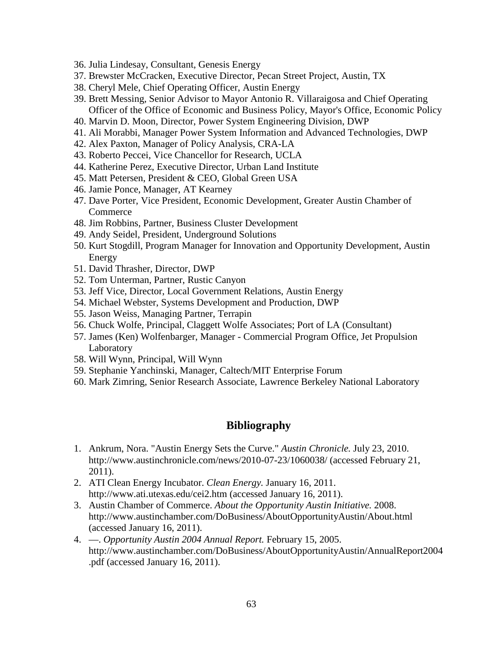- 36. Julia Lindesay, Consultant, Genesis Energy
- 37. Brewster McCracken, Executive Director, Pecan Street Project, Austin, TX
- 38. Cheryl Mele, Chief Operating Officer, Austin Energy
- 39. Brett Messing, Senior Advisor to Mayor Antonio R. Villaraigosa and Chief Operating Officer of the Office of Economic and Business Policy, Mayor's Office, Economic Policy
- 40. Marvin D. Moon, Director, Power System Engineering Division, DWP
- 41. Ali Morabbi, Manager Power System Information and Advanced Technologies, DWP
- 42. Alex Paxton, Manager of Policy Analysis, CRA-LA
- 43. Roberto Peccei, Vice Chancellor for Research, UCLA
- 44. Katherine Perez, Executive Director, Urban Land Institute
- 45. Matt Petersen, President & CEO, Global Green USA
- 46. Jamie Ponce, Manager, AT Kearney
- 47. Dave Porter, Vice President, Economic Development, Greater Austin Chamber of **Commerce**
- 48. Jim Robbins, Partner, Business Cluster Development
- 49. Andy Seidel, President, Underground Solutions
- 50. Kurt Stogdill, Program Manager for Innovation and Opportunity Development, Austin Energy
- 51. David Thrasher, Director, DWP
- 52. Tom Unterman, Partner, Rustic Canyon
- 53. Jeff Vice, Director, Local Government Relations, Austin Energy
- 54. Michael Webster, Systems Development and Production, DWP
- 55. Jason Weiss, Managing Partner, Terrapin
- 56. Chuck Wolfe, Principal, Claggett Wolfe Associates; Port of LA (Consultant)
- 57. James (Ken) Wolfenbarger, Manager Commercial Program Office, Jet Propulsion Laboratory
- 58. Will Wynn, Principal, Will Wynn
- 59. Stephanie Yanchinski, Manager, Caltech/MIT Enterprise Forum
- 60. Mark Zimring, Senior Research Associate, Lawrence Berkeley National Laboratory

# **Bibliography**

- 1. Ankrum, Nora. "Austin Energy Sets the Curve." *Austin Chronicle.* July 23, 2010. http://www.austinchronicle.com/news/2010-07-23/1060038/ (accessed February 21, 2011).
- 2. ATI Clean Energy Incubator. *Clean Energy.* January 16, 2011. http://www.ati.utexas.edu/cei2.htm (accessed January 16, 2011).
- 3. Austin Chamber of Commerce. *About the Opportunity Austin Initiative.* 2008. http://www.austinchamber.com/DoBusiness/AboutOpportunityAustin/About.html (accessed January 16, 2011).
- 4. —. *Opportunity Austin 2004 Annual Report.* February 15, 2005. http://www.austinchamber.com/DoBusiness/AboutOpportunityAustin/AnnualReport2004 .pdf (accessed January 16, 2011).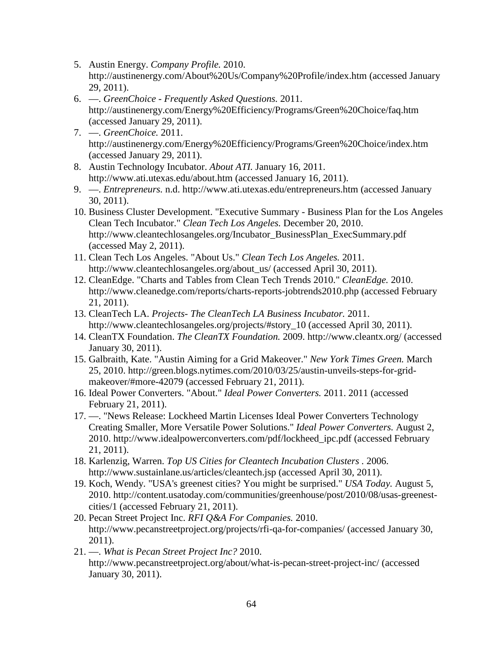- 5. Austin Energy. *Company Profile.* 2010. http://austinenergy.com/About%20Us/Company%20Profile/index.htm (accessed January 29, 2011).
- 6. —. *GreenChoice - Frequently Asked Questions.* 2011. http://austinenergy.com/Energy%20Efficiency/Programs/Green%20Choice/faq.htm (accessed January 29, 2011).
- 7. —. *GreenChoice.* 2011. http://austinenergy.com/Energy%20Efficiency/Programs/Green%20Choice/index.htm (accessed January 29, 2011).
- 8. Austin Technology Incubator. *About ATI.* January 16, 2011. http://www.ati.utexas.edu/about.htm (accessed January 16, 2011).
- 9. —. *Entrepreneurs.* n.d. http://www.ati.utexas.edu/entrepreneurs.htm (accessed January 30, 2011).
- 10. Business Cluster Development. "Executive Summary Business Plan for the Los Angeles Clean Tech Incubator." *Clean Tech Los Angeles.* December 20, 2010. http://www.cleantechlosangeles.org/Incubator\_BusinessPlan\_ExecSummary.pdf (accessed May 2, 2011).
- 11. Clean Tech Los Angeles. "About Us." *Clean Tech Los Angeles.* 2011. http://www.cleantechlosangeles.org/about\_us/ (accessed April 30, 2011).
- 12. CleanEdge. "Charts and Tables from Clean Tech Trends 2010." *CleanEdge.* 2010. http://www.cleanedge.com/reports/charts-reports-jobtrends2010.php (accessed February 21, 2011).
- 13. CleanTech LA. *Projects- The CleanTech LA Business Incubator.* 2011. http://www.cleantechlosangeles.org/projects/#story\_10 (accessed April 30, 2011).
- 14. CleanTX Foundation. *The CleanTX Foundation.* 2009. http://www.cleantx.org/ (accessed January 30, 2011).
- 15. Galbraith, Kate. "Austin Aiming for a Grid Makeover." *New York Times Green.* March 25, 2010. http://green.blogs.nytimes.com/2010/03/25/austin-unveils-steps-for-gridmakeover/#more-42079 (accessed February 21, 2011).
- 16. Ideal Power Converters. "About." *Ideal Power Converters.* 2011. 2011 (accessed February 21, 2011).
- 17. —. "News Release: Lockheed Martin Licenses Ideal Power Converters Technology Creating Smaller, More Versatile Power Solutions." *Ideal Power Converters.* August 2, 2010. http://www.idealpowerconverters.com/pdf/lockheed\_ipc.pdf (accessed February 21, 2011).
- 18. Karlenzig, Warren. *Top US Cities for Cleantech Incubation Clusters .* 2006. http://www.sustainlane.us/articles/cleantech.jsp (accessed April 30, 2011).
- 19. Koch, Wendy. "USA's greenest cities? You might be surprised." *USA Today.* August 5, 2010. http://content.usatoday.com/communities/greenhouse/post/2010/08/usas-greenestcities/1 (accessed February 21, 2011).
- 20. Pecan Street Project Inc. *RFI Q&A For Companies.* 2010. http://www.pecanstreetproject.org/projects/rfi-qa-for-companies/ (accessed January 30, 2011).
- 21. —. *What is Pecan Street Project Inc?* 2010. http://www.pecanstreetproject.org/about/what-is-pecan-street-project-inc/ (accessed January 30, 2011).